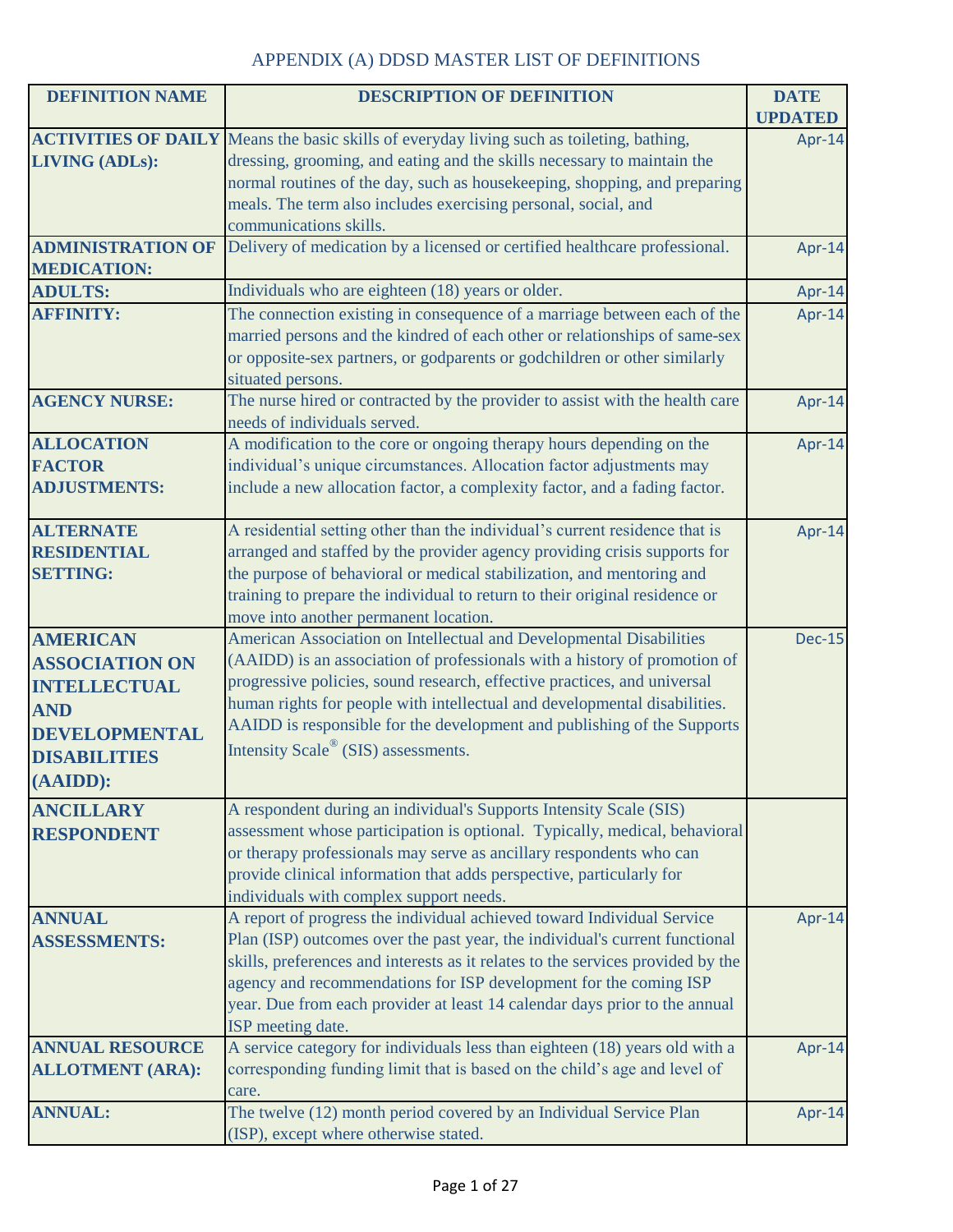| <b>DEFINITION NAME</b>   | <b>DESCRIPTION OF DEFINITION</b>                                                                 | <b>DATE</b>              |
|--------------------------|--------------------------------------------------------------------------------------------------|--------------------------|
|                          | <b>ACTIVITIES OF DAILY</b> Means the basic skills of everyday living such as toileting, bathing, | <b>UPDATED</b><br>Apr-14 |
| <b>LIVING (ADLs):</b>    | dressing, grooming, and eating and the skills necessary to maintain the                          |                          |
|                          | normal routines of the day, such as housekeeping, shopping, and preparing                        |                          |
|                          | meals. The term also includes exercising personal, social, and                                   |                          |
|                          | communications skills.                                                                           |                          |
| <b>ADMINISTRATION OF</b> | Delivery of medication by a licensed or certified healthcare professional.                       | Apr-14                   |
| <b>MEDICATION:</b>       |                                                                                                  |                          |
| <b>ADULTS:</b>           | Individuals who are eighteen (18) years or older.                                                | Apr-14                   |
| <b>AFFINITY:</b>         | The connection existing in consequence of a marriage between each of the                         | Apr-14                   |
|                          | married persons and the kindred of each other or relationships of same-sex                       |                          |
|                          | or opposite-sex partners, or godparents or godchildren or other similarly                        |                          |
|                          | situated persons.                                                                                |                          |
| <b>AGENCY NURSE:</b>     | The nurse hired or contracted by the provider to assist with the health care                     | Apr-14                   |
|                          | needs of individuals served.                                                                     |                          |
| <b>ALLOCATION</b>        | A modification to the core or ongoing therapy hours depending on the                             | Apr-14                   |
| <b>FACTOR</b>            | individual's unique circumstances. Allocation factor adjustments may                             |                          |
| <b>ADJUSTMENTS:</b>      | include a new allocation factor, a complexity factor, and a fading factor.                       |                          |
| <b>ALTERNATE</b>         | A residential setting other than the individual's current residence that is                      | Apr-14                   |
| <b>RESIDENTIAL</b>       | arranged and staffed by the provider agency providing crisis supports for                        |                          |
| <b>SETTING:</b>          | the purpose of behavioral or medical stabilization, and mentoring and                            |                          |
|                          | training to prepare the individual to return to their original residence or                      |                          |
|                          | move into another permanent location.                                                            |                          |
| <b>AMERICAN</b>          | American Association on Intellectual and Developmental Disabilities                              | <b>Dec-15</b>            |
| <b>ASSOCIATION ON</b>    | (AAIDD) is an association of professionals with a history of promotion of                        |                          |
| <b>INTELLECTUAL</b>      | progressive policies, sound research, effective practices, and universal                         |                          |
| <b>AND</b>               | human rights for people with intellectual and developmental disabilities.                        |                          |
| <b>DEVELOPMENTAL</b>     | AAIDD is responsible for the development and publishing of the Supports                          |                          |
| <b>DISABILITIES</b>      | Intensity Scale® (SIS) assessments.                                                              |                          |
| $(AAIDD)$ :              |                                                                                                  |                          |
| <b>ANCILLARY</b>         | A respondent during an individual's Supports Intensity Scale (SIS)                               |                          |
| <b>RESPONDENT</b>        | assessment whose participation is optional. Typically, medical, behavioral                       |                          |
|                          | or therapy professionals may serve as ancillary respondents who can                              |                          |
|                          | provide clinical information that adds perspective, particularly for                             |                          |
|                          | individuals with complex support needs.                                                          |                          |
| <b>ANNUAL</b>            | A report of progress the individual achieved toward Individual Service                           | Apr-14                   |
| <b>ASSESSMENTS:</b>      | Plan (ISP) outcomes over the past year, the individual's current functional                      |                          |
|                          | skills, preferences and interests as it relates to the services provided by the                  |                          |
|                          | agency and recommendations for ISP development for the coming ISP                                |                          |
|                          | year. Due from each provider at least 14 calendar days prior to the annual                       |                          |
|                          | ISP meeting date.                                                                                |                          |
| <b>ANNUAL RESOURCE</b>   | A service category for individuals less than eighteen (18) years old with a                      | Apr-14                   |
| <b>ALLOTMENT (ARA):</b>  | corresponding funding limit that is based on the child's age and level of                        |                          |
|                          | care.                                                                                            |                          |
| <b>ANNUAL:</b>           | The twelve (12) month period covered by an Individual Service Plan                               | Apr-14                   |
|                          | (ISP), except where otherwise stated.                                                            |                          |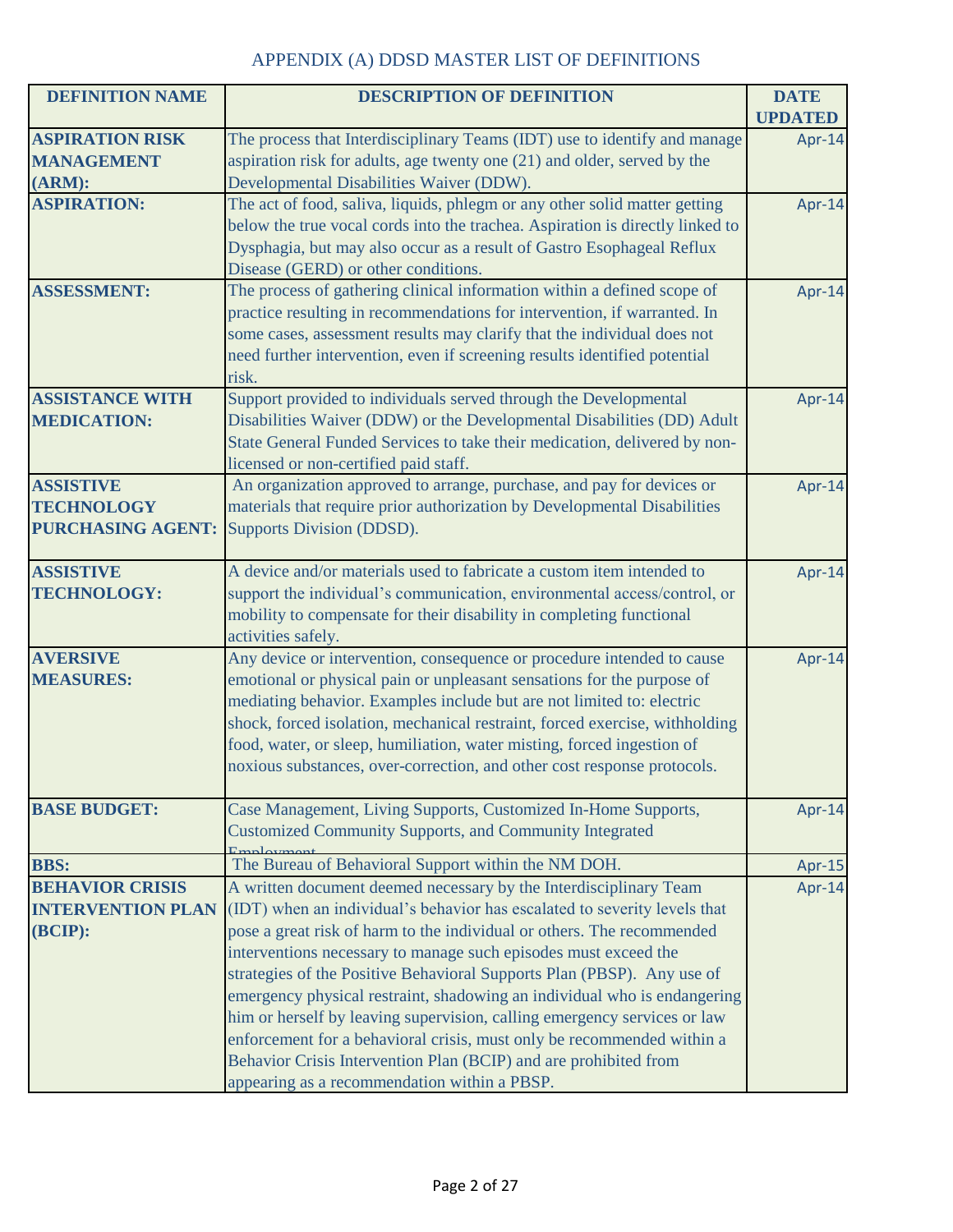| <b>DEFINITION NAME</b>                                            | <b>DESCRIPTION OF DEFINITION</b>                                                                                                                                                                                                                                                                                                                                                                                                                                                                                                                                                                                                                                                                                            | <b>DATE</b><br><b>UPDATED</b> |
|-------------------------------------------------------------------|-----------------------------------------------------------------------------------------------------------------------------------------------------------------------------------------------------------------------------------------------------------------------------------------------------------------------------------------------------------------------------------------------------------------------------------------------------------------------------------------------------------------------------------------------------------------------------------------------------------------------------------------------------------------------------------------------------------------------------|-------------------------------|
| <b>ASPIRATION RISK</b><br><b>MANAGEMENT</b>                       | The process that Interdisciplinary Teams (IDT) use to identify and manage<br>aspiration risk for adults, age twenty one (21) and older, served by the                                                                                                                                                                                                                                                                                                                                                                                                                                                                                                                                                                       | Apr-14                        |
| (ARM):<br><b>ASPIRATION:</b>                                      | Developmental Disabilities Waiver (DDW).<br>The act of food, saliva, liquids, phlegm or any other solid matter getting<br>below the true vocal cords into the trachea. Aspiration is directly linked to<br>Dysphagia, but may also occur as a result of Gastro Esophageal Reflux<br>Disease (GERD) or other conditions.                                                                                                                                                                                                                                                                                                                                                                                                     | Apr-14                        |
| <b>ASSESSMENT:</b>                                                | The process of gathering clinical information within a defined scope of<br>practice resulting in recommendations for intervention, if warranted. In<br>some cases, assessment results may clarify that the individual does not<br>need further intervention, even if screening results identified potential<br>risk.                                                                                                                                                                                                                                                                                                                                                                                                        | Apr-14                        |
| <b>ASSISTANCE WITH</b><br><b>MEDICATION:</b>                      | Support provided to individuals served through the Developmental<br>Disabilities Waiver (DDW) or the Developmental Disabilities (DD) Adult<br>State General Funded Services to take their medication, delivered by non-<br>licensed or non-certified paid staff.                                                                                                                                                                                                                                                                                                                                                                                                                                                            | Apr-14                        |
| <b>ASSISTIVE</b><br><b>TECHNOLOGY</b><br><b>PURCHASING AGENT:</b> | An organization approved to arrange, purchase, and pay for devices or<br>materials that require prior authorization by Developmental Disabilities<br>Supports Division (DDSD).                                                                                                                                                                                                                                                                                                                                                                                                                                                                                                                                              | Apr-14                        |
| <b>ASSISTIVE</b><br><b>TECHNOLOGY:</b>                            | A device and/or materials used to fabricate a custom item intended to<br>support the individual's communication, environmental access/control, or<br>mobility to compensate for their disability in completing functional<br>activities safely.                                                                                                                                                                                                                                                                                                                                                                                                                                                                             | Apr-14                        |
| <b>AVERSIVE</b><br><b>MEASURES:</b>                               | Any device or intervention, consequence or procedure intended to cause<br>emotional or physical pain or unpleasant sensations for the purpose of<br>mediating behavior. Examples include but are not limited to: electric<br>shock, forced isolation, mechanical restraint, forced exercise, withholding<br>food, water, or sleep, humiliation, water misting, forced ingestion of<br>noxious substances, over-correction, and other cost response protocols.                                                                                                                                                                                                                                                               | Apr-14                        |
| <b>BASE BUDGET:</b>                                               | Case Management, Living Supports, Customized In-Home Supports,<br><b>Customized Community Supports, and Community Integrated</b>                                                                                                                                                                                                                                                                                                                                                                                                                                                                                                                                                                                            | Apr-14                        |
| <b>BBS:</b>                                                       | The Bureau of Behavioral Support within the NM DOH.                                                                                                                                                                                                                                                                                                                                                                                                                                                                                                                                                                                                                                                                         | Apr-15                        |
| <b>BEHAVIOR CRISIS</b><br><b>INTERVENTION PLAN</b><br>(BCIP):     | A written document deemed necessary by the Interdisciplinary Team<br>(IDT) when an individual's behavior has escalated to severity levels that<br>pose a great risk of harm to the individual or others. The recommended<br>interventions necessary to manage such episodes must exceed the<br>strategies of the Positive Behavioral Supports Plan (PBSP). Any use of<br>emergency physical restraint, shadowing an individual who is endangering<br>him or herself by leaving supervision, calling emergency services or law<br>enforcement for a behavioral crisis, must only be recommended within a<br>Behavior Crisis Intervention Plan (BCIP) and are prohibited from<br>appearing as a recommendation within a PBSP. | Apr-14                        |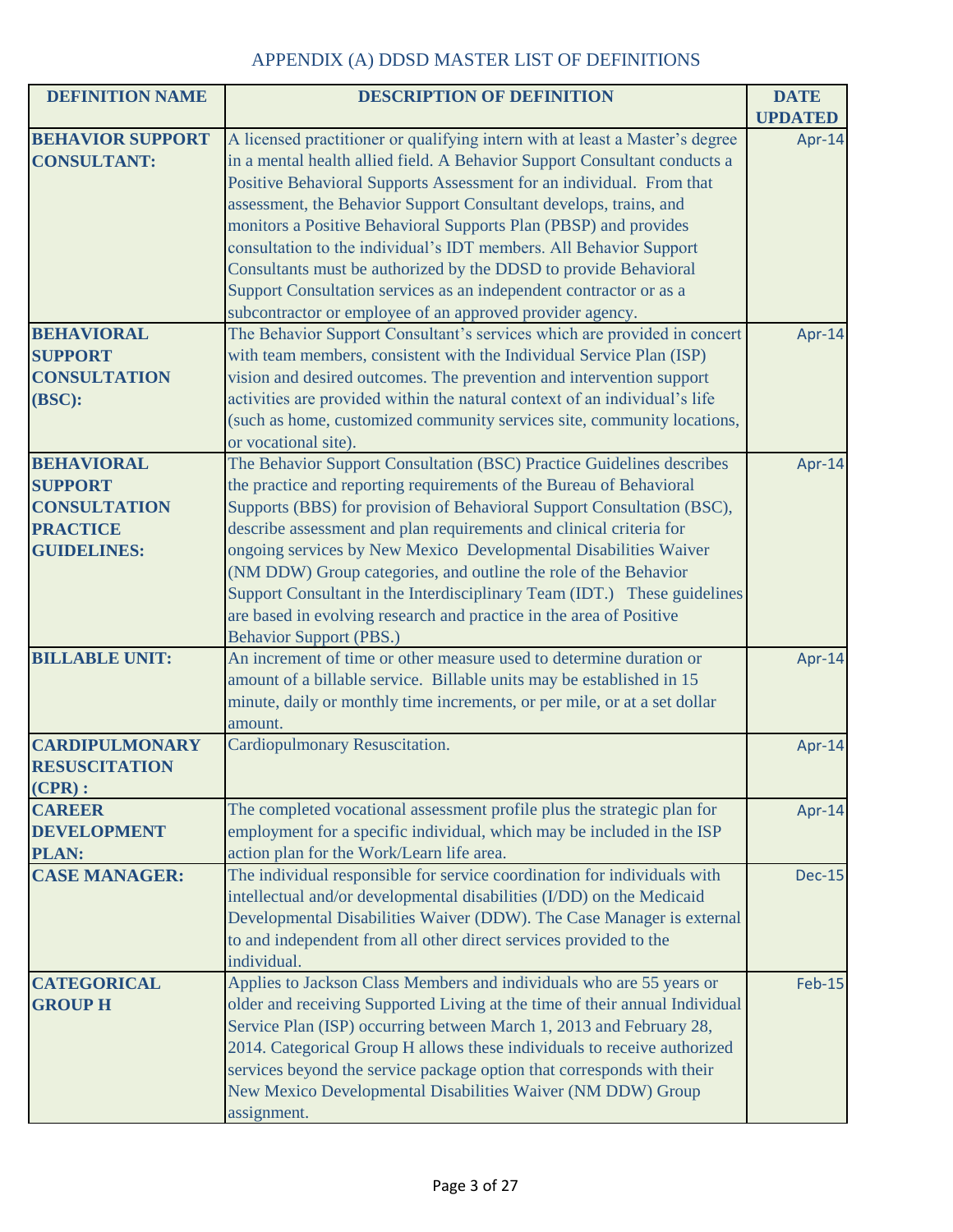| <b>DEFINITION NAME</b>  | <b>DESCRIPTION OF DEFINITION</b>                                             | <b>DATE</b>    |
|-------------------------|------------------------------------------------------------------------------|----------------|
|                         |                                                                              | <b>UPDATED</b> |
| <b>BEHAVIOR SUPPORT</b> | A licensed practitioner or qualifying intern with at least a Master's degree | Apr-14         |
| <b>CONSULTANT:</b>      | in a mental health allied field. A Behavior Support Consultant conducts a    |                |
|                         | Positive Behavioral Supports Assessment for an individual. From that         |                |
|                         | assessment, the Behavior Support Consultant develops, trains, and            |                |
|                         | monitors a Positive Behavioral Supports Plan (PBSP) and provides             |                |
|                         | consultation to the individual's IDT members. All Behavior Support           |                |
|                         | Consultants must be authorized by the DDSD to provide Behavioral             |                |
|                         | Support Consultation services as an independent contractor or as a           |                |
|                         | subcontractor or employee of an approved provider agency.                    |                |
| <b>BEHAVIORAL</b>       | The Behavior Support Consultant's services which are provided in concert     | Apr-14         |
| <b>SUPPORT</b>          | with team members, consistent with the Individual Service Plan (ISP)         |                |
| <b>CONSULTATION</b>     | vision and desired outcomes. The prevention and intervention support         |                |
| (BSC):                  | activities are provided within the natural context of an individual's life   |                |
|                         | (such as home, customized community services site, community locations,      |                |
|                         | or vocational site).                                                         |                |
| <b>BEHAVIORAL</b>       | The Behavior Support Consultation (BSC) Practice Guidelines describes        | Apr-14         |
| <b>SUPPORT</b>          | the practice and reporting requirements of the Bureau of Behavioral          |                |
| <b>CONSULTATION</b>     | Supports (BBS) for provision of Behavioral Support Consultation (BSC),       |                |
| <b>PRACTICE</b>         | describe assessment and plan requirements and clinical criteria for          |                |
| <b>GUIDELINES:</b>      | ongoing services by New Mexico Developmental Disabilities Waiver             |                |
|                         | (NM DDW) Group categories, and outline the role of the Behavior              |                |
|                         | Support Consultant in the Interdisciplinary Team (IDT.) These guidelines     |                |
|                         | are based in evolving research and practice in the area of Positive          |                |
|                         | <b>Behavior Support (PBS.)</b>                                               |                |
| <b>BILLABLE UNIT:</b>   | An increment of time or other measure used to determine duration or          | Apr-14         |
|                         | amount of a billable service. Billable units may be established in 15        |                |
|                         | minute, daily or monthly time increments, or per mile, or at a set dollar    |                |
|                         | amount.                                                                      |                |
| <b>CARDIPULMONARY</b>   | <b>Cardiopulmonary Resuscitation.</b>                                        | Apr-14         |
| <b>RESUSCITATION</b>    |                                                                              |                |
| $(CPR)$ :               |                                                                              |                |
| <b>CAREER</b>           | The completed vocational assessment profile plus the strategic plan for      | Apr-14         |
| <b>DEVELOPMENT</b>      | employment for a specific individual, which may be included in the ISP       |                |
| <b>PLAN:</b>            | action plan for the Work/Learn life area.                                    |                |
| <b>CASE MANAGER:</b>    | The individual responsible for service coordination for individuals with     | <b>Dec-15</b>  |
|                         | intellectual and/or developmental disabilities (I/DD) on the Medicaid        |                |
|                         | Developmental Disabilities Waiver (DDW). The Case Manager is external        |                |
|                         | to and independent from all other direct services provided to the            |                |
|                         | individual.                                                                  |                |
| <b>CATEGORICAL</b>      | Applies to Jackson Class Members and individuals who are 55 years or         | <b>Feb-15</b>  |
| <b>GROUP H</b>          | older and receiving Supported Living at the time of their annual Individual  |                |
|                         | Service Plan (ISP) occurring between March 1, 2013 and February 28,          |                |
|                         | 2014. Categorical Group H allows these individuals to receive authorized     |                |
|                         | services beyond the service package option that corresponds with their       |                |
|                         | New Mexico Developmental Disabilities Waiver (NM DDW) Group                  |                |
|                         | assignment.                                                                  |                |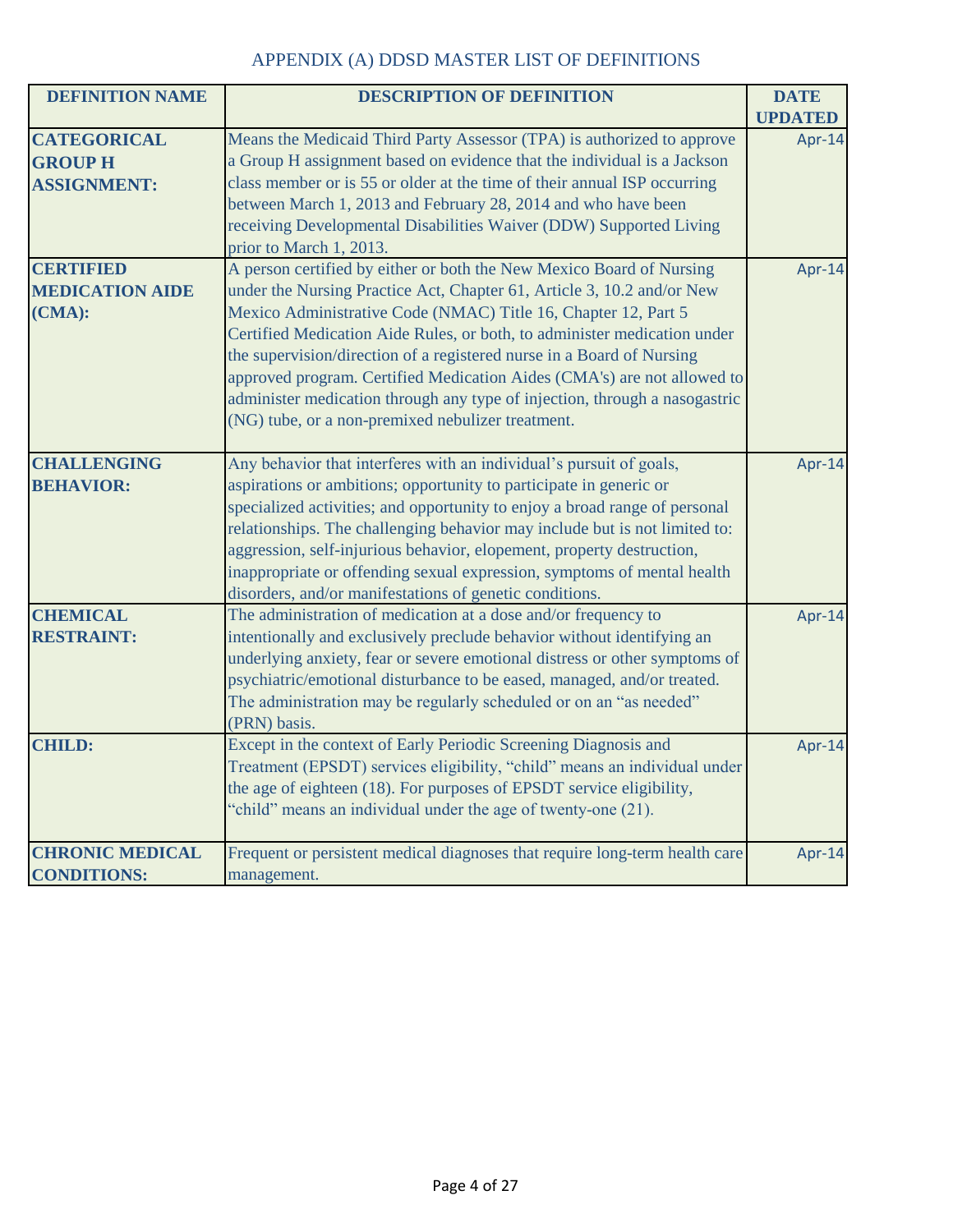| <b>DEFINITION NAME</b> | <b>DESCRIPTION OF DEFINITION</b>                                            | <b>DATE</b>    |
|------------------------|-----------------------------------------------------------------------------|----------------|
|                        |                                                                             | <b>UPDATED</b> |
| <b>CATEGORICAL</b>     | Means the Medicaid Third Party Assessor (TPA) is authorized to approve      | Apr-14         |
| <b>GROUP H</b>         | a Group H assignment based on evidence that the individual is a Jackson     |                |
| <b>ASSIGNMENT:</b>     | class member or is 55 or older at the time of their annual ISP occurring    |                |
|                        | between March 1, 2013 and February 28, 2014 and who have been               |                |
|                        | receiving Developmental Disabilities Waiver (DDW) Supported Living          |                |
|                        | prior to March 1, 2013.                                                     |                |
| <b>CERTIFIED</b>       | A person certified by either or both the New Mexico Board of Nursing        | Apr-14         |
| <b>MEDICATION AIDE</b> | under the Nursing Practice Act, Chapter 61, Article 3, 10.2 and/or New      |                |
| (CMA):                 | Mexico Administrative Code (NMAC) Title 16, Chapter 12, Part 5              |                |
|                        | Certified Medication Aide Rules, or both, to administer medication under    |                |
|                        | the supervision/direction of a registered nurse in a Board of Nursing       |                |
|                        | approved program. Certified Medication Aides (CMA's) are not allowed to     |                |
|                        | administer medication through any type of injection, through a nasogastric  |                |
|                        | (NG) tube, or a non-premixed nebulizer treatment.                           |                |
|                        |                                                                             |                |
| <b>CHALLENGING</b>     | Any behavior that interferes with an individual's pursuit of goals,         | Apr-14         |
| <b>BEHAVIOR:</b>       | aspirations or ambitions; opportunity to participate in generic or          |                |
|                        | specialized activities; and opportunity to enjoy a broad range of personal  |                |
|                        | relationships. The challenging behavior may include but is not limited to:  |                |
|                        | aggression, self-injurious behavior, elopement, property destruction,       |                |
|                        | inappropriate or offending sexual expression, symptoms of mental health     |                |
|                        | disorders, and/or manifestations of genetic conditions.                     |                |
| <b>CHEMICAL</b>        | The administration of medication at a dose and/or frequency to              | Apr-14         |
| <b>RESTRAINT:</b>      | intentionally and exclusively preclude behavior without identifying an      |                |
|                        | underlying anxiety, fear or severe emotional distress or other symptoms of  |                |
|                        | psychiatric/emotional disturbance to be eased, managed, and/or treated.     |                |
|                        | The administration may be regularly scheduled or on an "as needed"          |                |
|                        | (PRN) basis.                                                                |                |
| <b>CHILD:</b>          | Except in the context of Early Periodic Screening Diagnosis and             | Apr-14         |
|                        | Treatment (EPSDT) services eligibility, "child" means an individual under   |                |
|                        | the age of eighteen (18). For purposes of EPSDT service eligibility,        |                |
|                        | "child" means an individual under the age of twenty-one (21).               |                |
|                        |                                                                             |                |
| <b>CHRONIC MEDICAL</b> | Frequent or persistent medical diagnoses that require long-term health care | Apr-14         |
| <b>CONDITIONS:</b>     | management.                                                                 |                |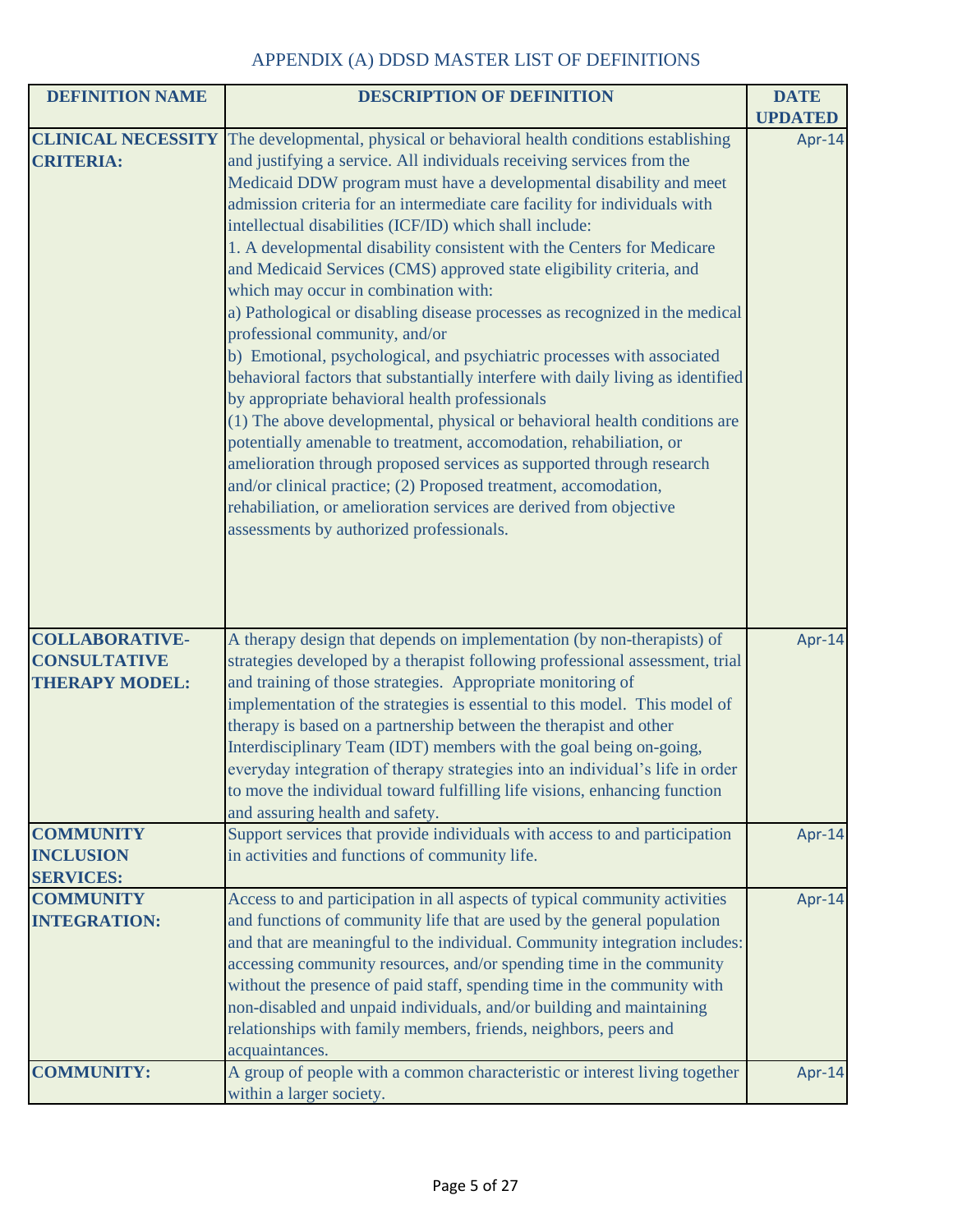| <b>DEFINITION NAME</b>                                                | <b>DESCRIPTION OF DEFINITION</b>                                                                                                                                                                                                                                                                                                                                                                                                                                                                                                                                                                                                                                                                                                                                                                                                                                                                                                                                                                                                                                                                                                                                                                                                                                                                          | <b>DATE</b>    |
|-----------------------------------------------------------------------|-----------------------------------------------------------------------------------------------------------------------------------------------------------------------------------------------------------------------------------------------------------------------------------------------------------------------------------------------------------------------------------------------------------------------------------------------------------------------------------------------------------------------------------------------------------------------------------------------------------------------------------------------------------------------------------------------------------------------------------------------------------------------------------------------------------------------------------------------------------------------------------------------------------------------------------------------------------------------------------------------------------------------------------------------------------------------------------------------------------------------------------------------------------------------------------------------------------------------------------------------------------------------------------------------------------|----------------|
|                                                                       |                                                                                                                                                                                                                                                                                                                                                                                                                                                                                                                                                                                                                                                                                                                                                                                                                                                                                                                                                                                                                                                                                                                                                                                                                                                                                                           | <b>UPDATED</b> |
| <b>CLINICAL NECESSITY</b><br><b>CRITERIA:</b>                         | The developmental, physical or behavioral health conditions establishing<br>and justifying a service. All individuals receiving services from the<br>Medicaid DDW program must have a developmental disability and meet<br>admission criteria for an intermediate care facility for individuals with<br>intellectual disabilities (ICF/ID) which shall include:<br>1. A developmental disability consistent with the Centers for Medicare<br>and Medicaid Services (CMS) approved state eligibility criteria, and<br>which may occur in combination with:<br>a) Pathological or disabling disease processes as recognized in the medical<br>professional community, and/or<br>b) Emotional, psychological, and psychiatric processes with associated<br>behavioral factors that substantially interfere with daily living as identified<br>by appropriate behavioral health professionals<br>(1) The above developmental, physical or behavioral health conditions are<br>potentially amenable to treatment, accomodation, rehabiliation, or<br>amelioration through proposed services as supported through research<br>and/or clinical practice; (2) Proposed treatment, accomodation,<br>rehabiliation, or amelioration services are derived from objective<br>assessments by authorized professionals. | Apr-14         |
| <b>COLLABORATIVE-</b><br><b>CONSULTATIVE</b><br><b>THERAPY MODEL:</b> | A therapy design that depends on implementation (by non-therapists) of<br>strategies developed by a therapist following professional assessment, trial<br>and training of those strategies. Appropriate monitoring of<br>implementation of the strategies is essential to this model. This model of<br>therapy is based on a partnership between the therapist and other<br>Interdisciplinary Team (IDT) members with the goal being on-going,<br>everyday integration of therapy strategies into an individual's life in order<br>to move the individual toward fulfilling life visions, enhancing function<br>and assuring health and safety.                                                                                                                                                                                                                                                                                                                                                                                                                                                                                                                                                                                                                                                           | Apr-14         |
| <b>COMMUNITY</b><br><b>INCLUSION</b><br><b>SERVICES:</b>              | Support services that provide individuals with access to and participation<br>in activities and functions of community life.                                                                                                                                                                                                                                                                                                                                                                                                                                                                                                                                                                                                                                                                                                                                                                                                                                                                                                                                                                                                                                                                                                                                                                              | Apr-14         |
| <b>COMMUNITY</b><br><b>INTEGRATION:</b>                               | Access to and participation in all aspects of typical community activities<br>and functions of community life that are used by the general population<br>and that are meaningful to the individual. Community integration includes:<br>accessing community resources, and/or spending time in the community<br>without the presence of paid staff, spending time in the community with<br>non-disabled and unpaid individuals, and/or building and maintaining<br>relationships with family members, friends, neighbors, peers and<br>acquaintances.                                                                                                                                                                                                                                                                                                                                                                                                                                                                                                                                                                                                                                                                                                                                                      | Apr-14         |
| <b>COMMUNITY:</b>                                                     | A group of people with a common characteristic or interest living together<br>within a larger society.                                                                                                                                                                                                                                                                                                                                                                                                                                                                                                                                                                                                                                                                                                                                                                                                                                                                                                                                                                                                                                                                                                                                                                                                    | Apr-14         |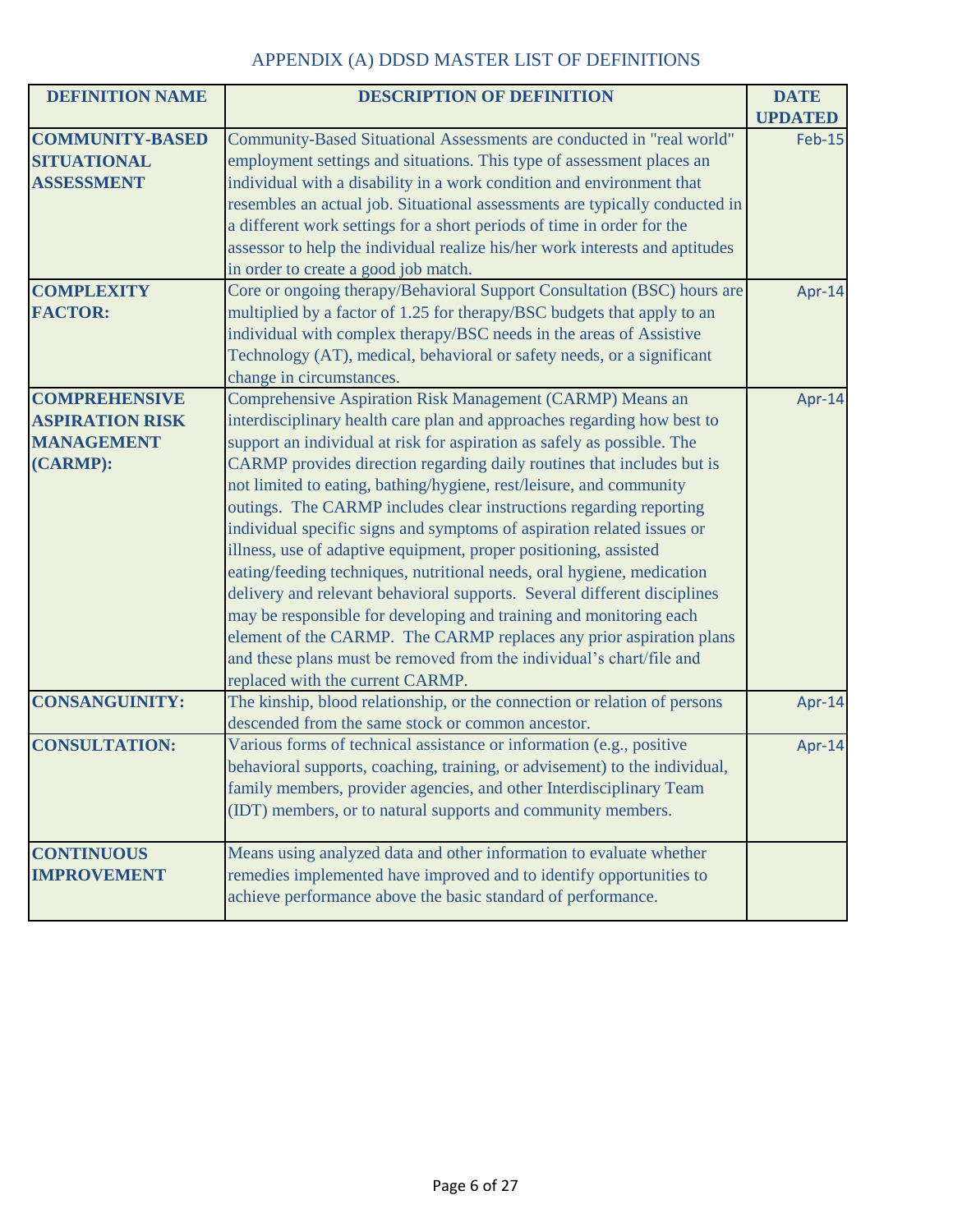| <b>DEFINITION NAME</b> | <b>DESCRIPTION OF DEFINITION</b>                                             | <b>DATE</b>    |
|------------------------|------------------------------------------------------------------------------|----------------|
|                        |                                                                              | <b>UPDATED</b> |
| <b>COMMUNITY-BASED</b> | Community-Based Situational Assessments are conducted in "real world"        | <b>Feb-15</b>  |
| <b>SITUATIONAL</b>     | employment settings and situations. This type of assessment places an        |                |
| <b>ASSESSMENT</b>      | individual with a disability in a work condition and environment that        |                |
|                        | resembles an actual job. Situational assessments are typically conducted in  |                |
|                        | a different work settings for a short periods of time in order for the       |                |
|                        | assessor to help the individual realize his/her work interests and aptitudes |                |
|                        | in order to create a good job match.                                         |                |
| <b>COMPLEXITY</b>      | Core or ongoing therapy/Behavioral Support Consultation (BSC) hours are      | Apr-14         |
| <b>FACTOR:</b>         | multiplied by a factor of 1.25 for therapy/BSC budgets that apply to an      |                |
|                        | individual with complex therapy/BSC needs in the areas of Assistive          |                |
|                        | Technology (AT), medical, behavioral or safety needs, or a significant       |                |
|                        | change in circumstances.                                                     |                |
| <b>COMPREHENSIVE</b>   | Comprehensive Aspiration Risk Management (CARMP) Means an                    | Apr-14         |
| <b>ASPIRATION RISK</b> | interdisciplinary health care plan and approaches regarding how best to      |                |
| <b>MANAGEMENT</b>      | support an individual at risk for aspiration as safely as possible. The      |                |
| (CARMP):               | CARMP provides direction regarding daily routines that includes but is       |                |
|                        | not limited to eating, bathing/hygiene, rest/leisure, and community          |                |
|                        | outings. The CARMP includes clear instructions regarding reporting           |                |
|                        | individual specific signs and symptoms of aspiration related issues or       |                |
|                        | illness, use of adaptive equipment, proper positioning, assisted             |                |
|                        | eating/feeding techniques, nutritional needs, oral hygiene, medication       |                |
|                        | delivery and relevant behavioral supports. Several different disciplines     |                |
|                        | may be responsible for developing and training and monitoring each           |                |
|                        | element of the CARMP. The CARMP replaces any prior aspiration plans          |                |
|                        | and these plans must be removed from the individual's chart/file and         |                |
|                        | replaced with the current CARMP.                                             |                |
| <b>CONSANGUINITY:</b>  | The kinship, blood relationship, or the connection or relation of persons    | Apr-14         |
|                        | descended from the same stock or common ancestor.                            |                |
| <b>CONSULTATION:</b>   | Various forms of technical assistance or information (e.g., positive         |                |
|                        |                                                                              | Apr-14         |
|                        | behavioral supports, coaching, training, or advisement) to the individual,   |                |
|                        | family members, provider agencies, and other Interdisciplinary Team          |                |
|                        | (IDT) members, or to natural supports and community members.                 |                |
| <b>CONTINUOUS</b>      | Means using analyzed data and other information to evaluate whether          |                |
| <b>IMPROVEMENT</b>     | remedies implemented have improved and to identify opportunities to          |                |
|                        |                                                                              |                |
|                        | achieve performance above the basic standard of performance.                 |                |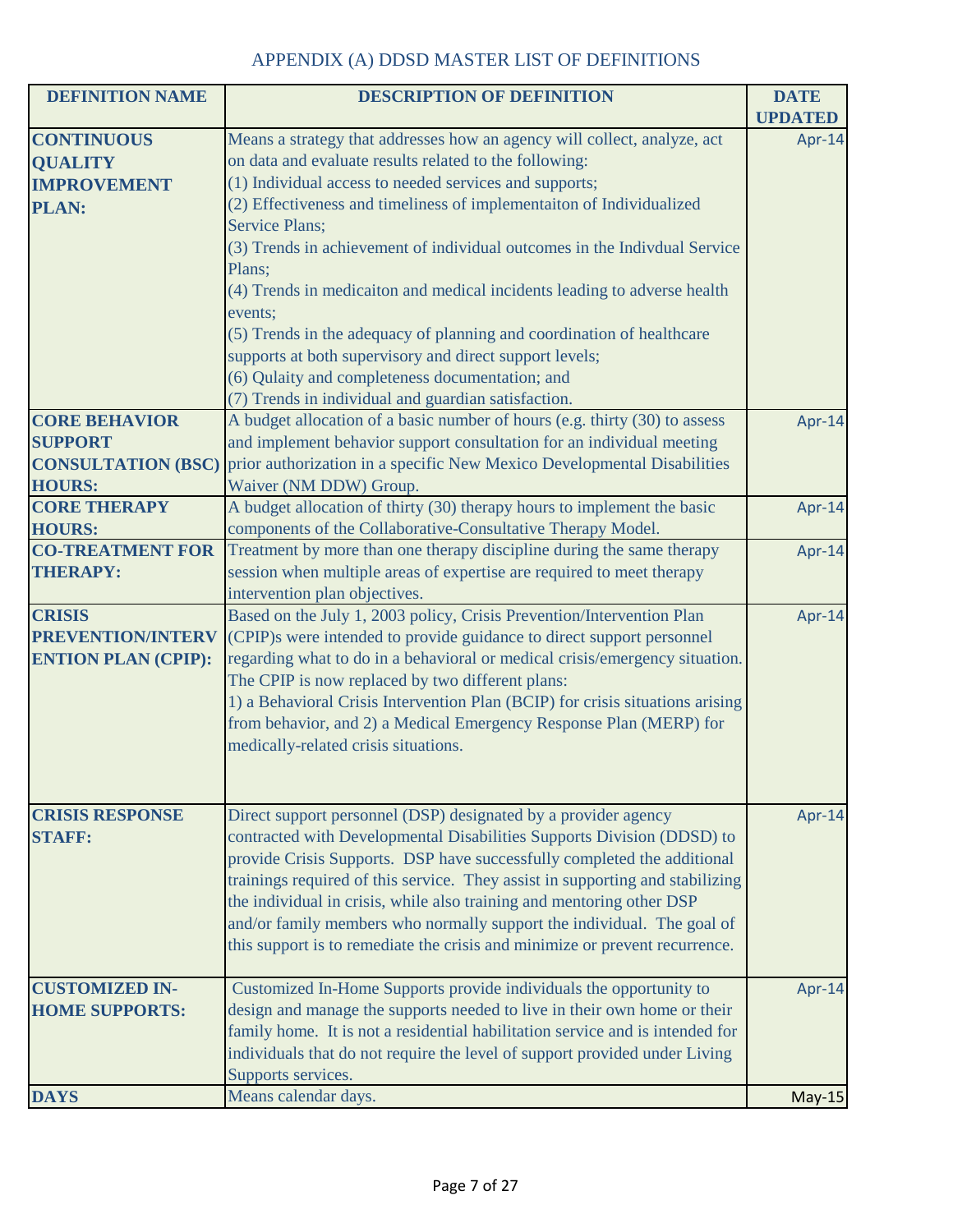| <b>DEFINITION NAME</b>     | <b>DESCRIPTION OF DEFINITION</b>                                              | <b>DATE</b>    |
|----------------------------|-------------------------------------------------------------------------------|----------------|
|                            |                                                                               | <b>UPDATED</b> |
| <b>CONTINUOUS</b>          | Means a strategy that addresses how an agency will collect, analyze, act      | Apr-14         |
| <b>QUALITY</b>             | on data and evaluate results related to the following:                        |                |
| <b>IMPROVEMENT</b>         | (1) Individual access to needed services and supports;                        |                |
| <b>PLAN:</b>               | (2) Effectiveness and timeliness of implementaiton of Individualized          |                |
|                            | Service Plans;                                                                |                |
|                            | (3) Trends in achievement of individual outcomes in the Indivdual Service     |                |
|                            | Plans;                                                                        |                |
|                            | (4) Trends in medicaiton and medical incidents leading to adverse health      |                |
|                            | events;                                                                       |                |
|                            | (5) Trends in the adequacy of planning and coordination of healthcare         |                |
|                            | supports at both supervisory and direct support levels;                       |                |
|                            | (6) Qulaity and completeness documentation; and                               |                |
|                            | (7) Trends in individual and guardian satisfaction.                           |                |
| <b>CORE BEHAVIOR</b>       | A budget allocation of a basic number of hours (e.g. thirty (30) to assess    | Apr-14         |
| <b>SUPPORT</b>             | and implement behavior support consultation for an individual meeting         |                |
| <b>CONSULTATION (BSC)</b>  | prior authorization in a specific New Mexico Developmental Disabilities       |                |
| <b>HOURS:</b>              | Waiver (NM DDW) Group.                                                        |                |
| <b>CORE THERAPY</b>        | A budget allocation of thirty (30) therapy hours to implement the basic       | Apr-14         |
| <b>HOURS:</b>              | components of the Collaborative-Consultative Therapy Model.                   |                |
| <b>CO-TREATMENT FOR</b>    | Treatment by more than one therapy discipline during the same therapy         | Apr-14         |
| <b>THERAPY:</b>            | session when multiple areas of expertise are required to meet therapy         |                |
|                            | intervention plan objectives.                                                 |                |
| <b>CRISIS</b>              | Based on the July 1, 2003 policy, Crisis Prevention/Intervention Plan         | Apr-14         |
| PREVENTION/INTERV          | (CPIP)s were intended to provide guidance to direct support personnel         |                |
| <b>ENTION PLAN (CPIP):</b> | regarding what to do in a behavioral or medical crisis/emergency situation.   |                |
|                            | The CPIP is now replaced by two different plans:                              |                |
|                            | 1) a Behavioral Crisis Intervention Plan (BCIP) for crisis situations arising |                |
|                            | from behavior, and 2) a Medical Emergency Response Plan (MERP) for            |                |
|                            | medically-related crisis situations.                                          |                |
|                            |                                                                               |                |
|                            |                                                                               |                |
| <b>CRISIS RESPONSE</b>     | Direct support personnel (DSP) designated by a provider agency                | Apr-14         |
| <b>STAFF:</b>              | contracted with Developmental Disabilities Supports Division (DDSD) to        |                |
|                            | provide Crisis Supports. DSP have successfully completed the additional       |                |
|                            | trainings required of this service. They assist in supporting and stabilizing |                |
|                            | the individual in crisis, while also training and mentoring other DSP         |                |
|                            | and/or family members who normally support the individual. The goal of        |                |
|                            | this support is to remediate the crisis and minimize or prevent recurrence.   |                |
|                            |                                                                               |                |
| <b>CUSTOMIZED IN-</b>      | Customized In-Home Supports provide individuals the opportunity to            | Apr-14         |
| <b>HOME SUPPORTS:</b>      | design and manage the supports needed to live in their own home or their      |                |
|                            | family home. It is not a residential habilitation service and is intended for |                |
|                            | individuals that do not require the level of support provided under Living    |                |
|                            | Supports services.                                                            |                |
| <b>DAYS</b>                | Means calendar days.                                                          | $May-15$       |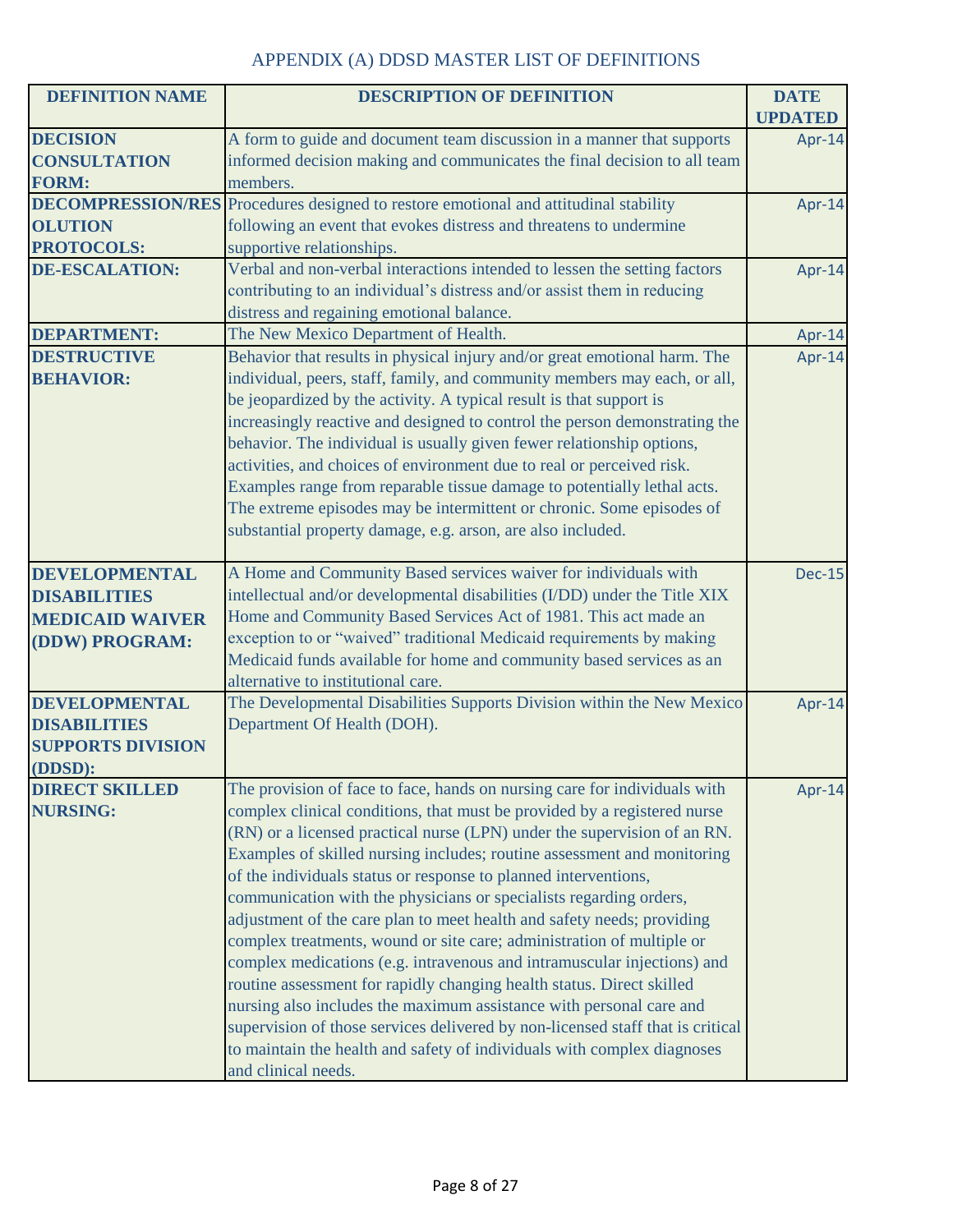| <b>DEFINITION NAME</b>           | <b>DESCRIPTION OF DEFINITION</b>                                                                                                                     | <b>DATE</b>    |
|----------------------------------|------------------------------------------------------------------------------------------------------------------------------------------------------|----------------|
|                                  |                                                                                                                                                      | <b>UPDATED</b> |
| <b>DECISION</b>                  | A form to guide and document team discussion in a manner that supports                                                                               | Apr-14         |
| <b>CONSULTATION</b>              | informed decision making and communicates the final decision to all team                                                                             |                |
| <b>FORM:</b>                     | members.                                                                                                                                             |                |
|                                  | <b>DECOMPRESSION/RES</b> Procedures designed to restore emotional and attitudinal stability                                                          | Apr-14         |
| <b>OLUTION</b>                   | following an event that evokes distress and threatens to undermine                                                                                   |                |
| <b>PROTOCOLS:</b>                | supportive relationships.                                                                                                                            |                |
| <b>DE-ESCALATION:</b>            | Verbal and non-verbal interactions intended to lessen the setting factors                                                                            | Apr-14         |
|                                  | contributing to an individual's distress and/or assist them in reducing                                                                              |                |
|                                  | distress and regaining emotional balance.                                                                                                            |                |
| <b>DEPARTMENT:</b>               | The New Mexico Department of Health.                                                                                                                 | Apr-14         |
| <b>DESTRUCTIVE</b>               | Behavior that results in physical injury and/or great emotional harm. The                                                                            | Apr-14         |
| <b>BEHAVIOR:</b>                 | individual, peers, staff, family, and community members may each, or all,                                                                            |                |
|                                  | be jeopardized by the activity. A typical result is that support is                                                                                  |                |
|                                  | increasingly reactive and designed to control the person demonstrating the                                                                           |                |
|                                  | behavior. The individual is usually given fewer relationship options,                                                                                |                |
|                                  | activities, and choices of environment due to real or perceived risk.                                                                                |                |
|                                  | Examples range from reparable tissue damage to potentially lethal acts.                                                                              |                |
|                                  | The extreme episodes may be intermittent or chronic. Some episodes of                                                                                |                |
|                                  | substantial property damage, e.g. arson, are also included.                                                                                          |                |
|                                  |                                                                                                                                                      |                |
| <b>DEVELOPMENTAL</b>             | A Home and Community Based services waiver for individuals with                                                                                      | <b>Dec-15</b>  |
| <b>DISABILITIES</b>              | intellectual and/or developmental disabilities (I/DD) under the Title XIX                                                                            |                |
| <b>MEDICAID WAIVER</b>           | Home and Community Based Services Act of 1981. This act made an                                                                                      |                |
| (DDW) PROGRAM:                   | exception to or "waived" traditional Medicaid requirements by making                                                                                 |                |
|                                  | Medicaid funds available for home and community based services as an                                                                                 |                |
|                                  | alternative to institutional care.                                                                                                                   |                |
| <b>DEVELOPMENTAL</b>             | The Developmental Disabilities Supports Division within the New Mexico                                                                               | Apr-14         |
| <b>DISABILITIES</b>              | Department Of Health (DOH).                                                                                                                          |                |
| <b>SUPPORTS DIVISION</b>         |                                                                                                                                                      |                |
| (DDSD):<br><b>DIRECT SKILLED</b> |                                                                                                                                                      |                |
|                                  | The provision of face to face, hands on nursing care for individuals with                                                                            | Apr-14         |
| <b>NURSING:</b>                  | complex clinical conditions, that must be provided by a registered nurse<br>(RN) or a licensed practical nurse (LPN) under the supervision of an RN. |                |
|                                  | Examples of skilled nursing includes; routine assessment and monitoring                                                                              |                |
|                                  |                                                                                                                                                      |                |
|                                  | of the individuals status or response to planned interventions,                                                                                      |                |
|                                  | communication with the physicians or specialists regarding orders,                                                                                   |                |
|                                  | adjustment of the care plan to meet health and safety needs; providing                                                                               |                |
|                                  | complex treatments, wound or site care; administration of multiple or                                                                                |                |
|                                  | complex medications (e.g. intravenous and intramuscular injections) and                                                                              |                |
|                                  | routine assessment for rapidly changing health status. Direct skilled                                                                                |                |
|                                  | nursing also includes the maximum assistance with personal care and                                                                                  |                |
|                                  | supervision of those services delivered by non-licensed staff that is critical                                                                       |                |
|                                  | to maintain the health and safety of individuals with complex diagnoses                                                                              |                |
|                                  | and clinical needs.                                                                                                                                  |                |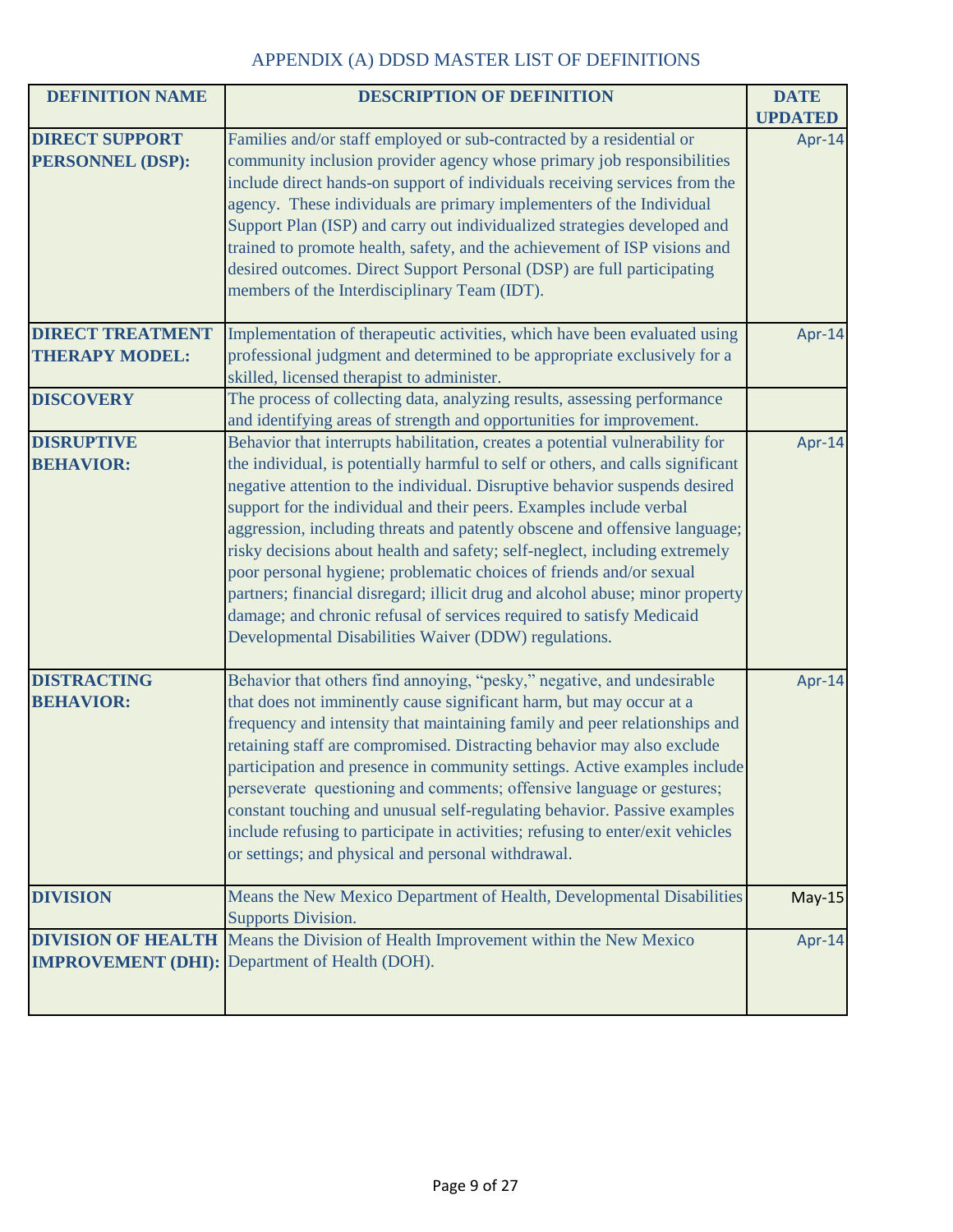| <b>DEFINITION NAME</b>                           | <b>DESCRIPTION OF DEFINITION</b>                                                                                                                                                                                                                                                                                                                                                                                                                                                                                                                                                                                                                                                                                                                                         | <b>DATE</b>              |
|--------------------------------------------------|--------------------------------------------------------------------------------------------------------------------------------------------------------------------------------------------------------------------------------------------------------------------------------------------------------------------------------------------------------------------------------------------------------------------------------------------------------------------------------------------------------------------------------------------------------------------------------------------------------------------------------------------------------------------------------------------------------------------------------------------------------------------------|--------------------------|
| <b>DIRECT SUPPORT</b><br><b>PERSONNEL (DSP):</b> | Families and/or staff employed or sub-contracted by a residential or<br>community inclusion provider agency whose primary job responsibilities<br>include direct hands-on support of individuals receiving services from the<br>agency. These individuals are primary implementers of the Individual<br>Support Plan (ISP) and carry out individualized strategies developed and<br>trained to promote health, safety, and the achievement of ISP visions and<br>desired outcomes. Direct Support Personal (DSP) are full participating<br>members of the Interdisciplinary Team (IDT).                                                                                                                                                                                  | <b>UPDATED</b><br>Apr-14 |
| <b>DIRECT TREATMENT</b><br><b>THERAPY MODEL:</b> | Implementation of therapeutic activities, which have been evaluated using<br>professional judgment and determined to be appropriate exclusively for a<br>skilled, licensed therapist to administer.                                                                                                                                                                                                                                                                                                                                                                                                                                                                                                                                                                      | Apr-14                   |
| <b>DISCOVERY</b>                                 | The process of collecting data, analyzing results, assessing performance<br>and identifying areas of strength and opportunities for improvement.                                                                                                                                                                                                                                                                                                                                                                                                                                                                                                                                                                                                                         |                          |
| <b>DISRUPTIVE</b><br><b>BEHAVIOR:</b>            | Behavior that interrupts habilitation, creates a potential vulnerability for<br>the individual, is potentially harmful to self or others, and calls significant<br>negative attention to the individual. Disruptive behavior suspends desired<br>support for the individual and their peers. Examples include verbal<br>aggression, including threats and patently obscene and offensive language;<br>risky decisions about health and safety; self-neglect, including extremely<br>poor personal hygiene; problematic choices of friends and/or sexual<br>partners; financial disregard; illicit drug and alcohol abuse; minor property<br>damage; and chronic refusal of services required to satisfy Medicaid<br>Developmental Disabilities Waiver (DDW) regulations. | Apr-14                   |
| <b>DISTRACTING</b><br><b>BEHAVIOR:</b>           | Behavior that others find annoying, "pesky," negative, and undesirable<br>that does not imminently cause significant harm, but may occur at a<br>frequency and intensity that maintaining family and peer relationships and<br>retaining staff are compromised. Distracting behavior may also exclude<br>participation and presence in community settings. Active examples include<br>perseverate questioning and comments; offensive language or gestures;<br>constant touching and unusual self-regulating behavior. Passive examples<br>include refusing to participate in activities; refusing to enter/exit vehicles<br>or settings; and physical and personal withdrawal.                                                                                          | Apr-14                   |
| <b>DIVISION</b>                                  | Means the New Mexico Department of Health, Developmental Disabilities<br><b>Supports Division.</b>                                                                                                                                                                                                                                                                                                                                                                                                                                                                                                                                                                                                                                                                       | $May-15$                 |
|                                                  | <b>DIVISION OF HEALTH</b> Means the Division of Health Improvement within the New Mexico<br><b>IMPROVEMENT (DHI):</b> Department of Health (DOH).                                                                                                                                                                                                                                                                                                                                                                                                                                                                                                                                                                                                                        | Apr-14                   |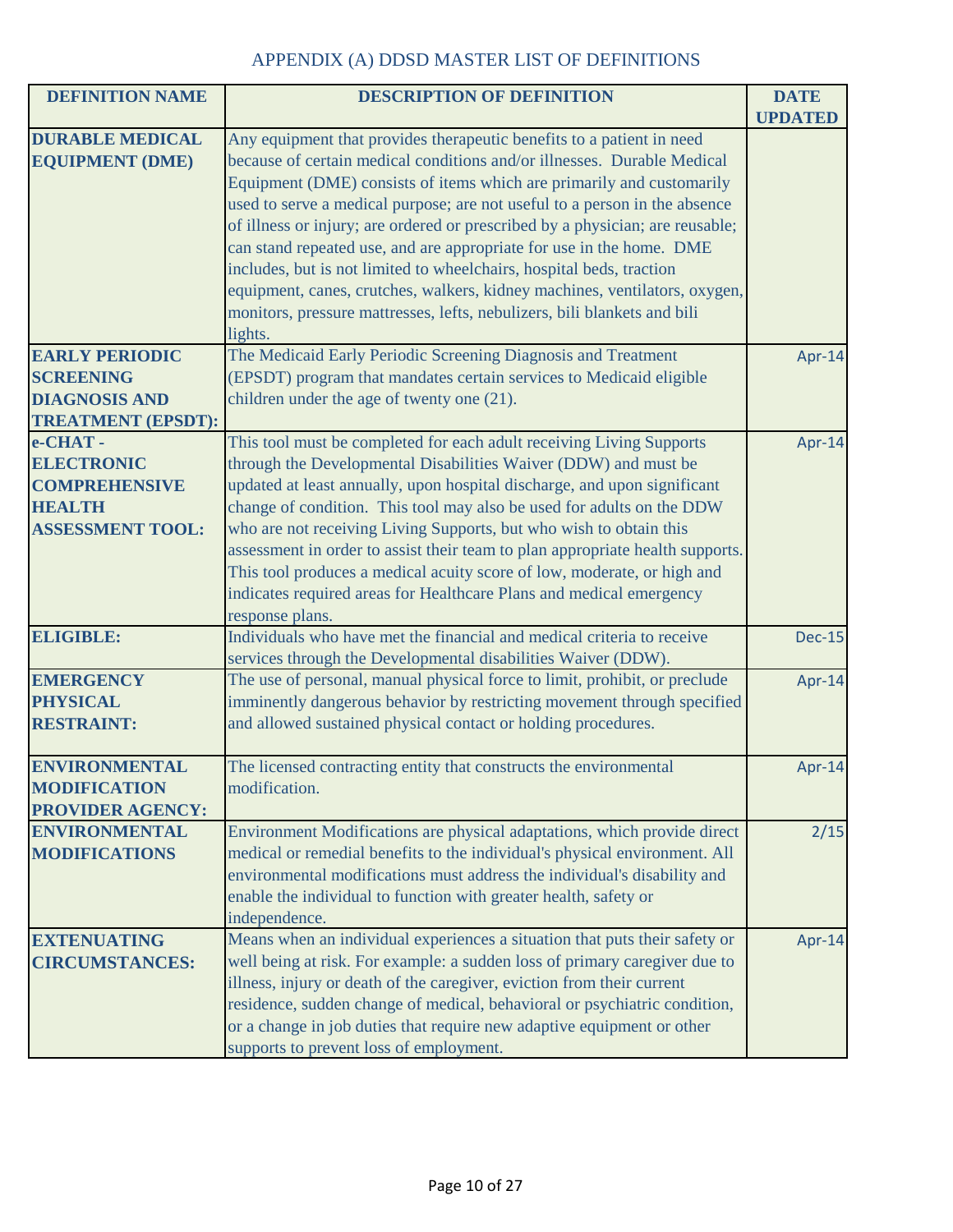| <b>DEFINITION NAME</b>       | <b>DESCRIPTION OF DEFINITION</b>                                                                                                            | <b>DATE</b>    |
|------------------------------|---------------------------------------------------------------------------------------------------------------------------------------------|----------------|
|                              |                                                                                                                                             | <b>UPDATED</b> |
| <b>DURABLE MEDICAL</b>       | Any equipment that provides therapeutic benefits to a patient in need                                                                       |                |
| <b>EQUIPMENT (DME)</b>       | because of certain medical conditions and/or illnesses. Durable Medical                                                                     |                |
|                              | Equipment (DME) consists of items which are primarily and customarily                                                                       |                |
|                              | used to serve a medical purpose; are not useful to a person in the absence                                                                  |                |
|                              | of illness or injury; are ordered or prescribed by a physician; are reusable;                                                               |                |
|                              | can stand repeated use, and are appropriate for use in the home. DME                                                                        |                |
|                              | includes, but is not limited to wheelchairs, hospital beds, traction                                                                        |                |
|                              | equipment, canes, crutches, walkers, kidney machines, ventilators, oxygen,                                                                  |                |
|                              | monitors, pressure mattresses, lefts, nebulizers, bili blankets and bili                                                                    |                |
|                              | lights.                                                                                                                                     |                |
| <b>EARLY PERIODIC</b>        | The Medicaid Early Periodic Screening Diagnosis and Treatment                                                                               | Apr-14         |
| <b>SCREENING</b>             | (EPSDT) program that mandates certain services to Medicaid eligible                                                                         |                |
| <b>DIAGNOSIS AND</b>         | children under the age of twenty one (21).                                                                                                  |                |
| <b>TREATMENT (EPSDT):</b>    |                                                                                                                                             |                |
| e-CHAT-<br><b>ELECTRONIC</b> | This tool must be completed for each adult receiving Living Supports                                                                        | Apr-14         |
| <b>COMPREHENSIVE</b>         | through the Developmental Disabilities Waiver (DDW) and must be<br>updated at least annually, upon hospital discharge, and upon significant |                |
| <b>HEALTH</b>                | change of condition. This tool may also be used for adults on the DDW                                                                       |                |
| <b>ASSESSMENT TOOL:</b>      | who are not receiving Living Supports, but who wish to obtain this                                                                          |                |
|                              | assessment in order to assist their team to plan appropriate health supports.                                                               |                |
|                              | This tool produces a medical acuity score of low, moderate, or high and                                                                     |                |
|                              | indicates required areas for Healthcare Plans and medical emergency                                                                         |                |
|                              | response plans.                                                                                                                             |                |
| <b>ELIGIBLE:</b>             | Individuals who have met the financial and medical criteria to receive                                                                      | <b>Dec-15</b>  |
|                              | services through the Developmental disabilities Waiver (DDW).                                                                               |                |
| <b>EMERGENCY</b>             | The use of personal, manual physical force to limit, prohibit, or preclude                                                                  | Apr-14         |
| <b>PHYSICAL</b>              | imminently dangerous behavior by restricting movement through specified                                                                     |                |
| <b>RESTRAINT:</b>            | and allowed sustained physical contact or holding procedures.                                                                               |                |
|                              |                                                                                                                                             |                |
| <b>ENVIRONMENTAL</b>         | The licensed contracting entity that constructs the environmental                                                                           | Apr-14         |
| <b>MODIFICATION</b>          | modification.                                                                                                                               |                |
| <b>PROVIDER AGENCY:</b>      |                                                                                                                                             |                |
| <b>ENVIRONMENTAL</b>         | Environment Modifications are physical adaptations, which provide direct                                                                    | 2/15           |
| <b>MODIFICATIONS</b>         | medical or remedial benefits to the individual's physical environment. All                                                                  |                |
|                              | environmental modifications must address the individual's disability and                                                                    |                |
|                              | enable the individual to function with greater health, safety or                                                                            |                |
|                              | independence.                                                                                                                               |                |
| <b>EXTENUATING</b>           | Means when an individual experiences a situation that puts their safety or                                                                  | Apr-14         |
| <b>CIRCUMSTANCES:</b>        | well being at risk. For example: a sudden loss of primary caregiver due to                                                                  |                |
|                              | illness, injury or death of the caregiver, eviction from their current                                                                      |                |
|                              | residence, sudden change of medical, behavioral or psychiatric condition,                                                                   |                |
|                              | or a change in job duties that require new adaptive equipment or other                                                                      |                |
|                              | supports to prevent loss of employment.                                                                                                     |                |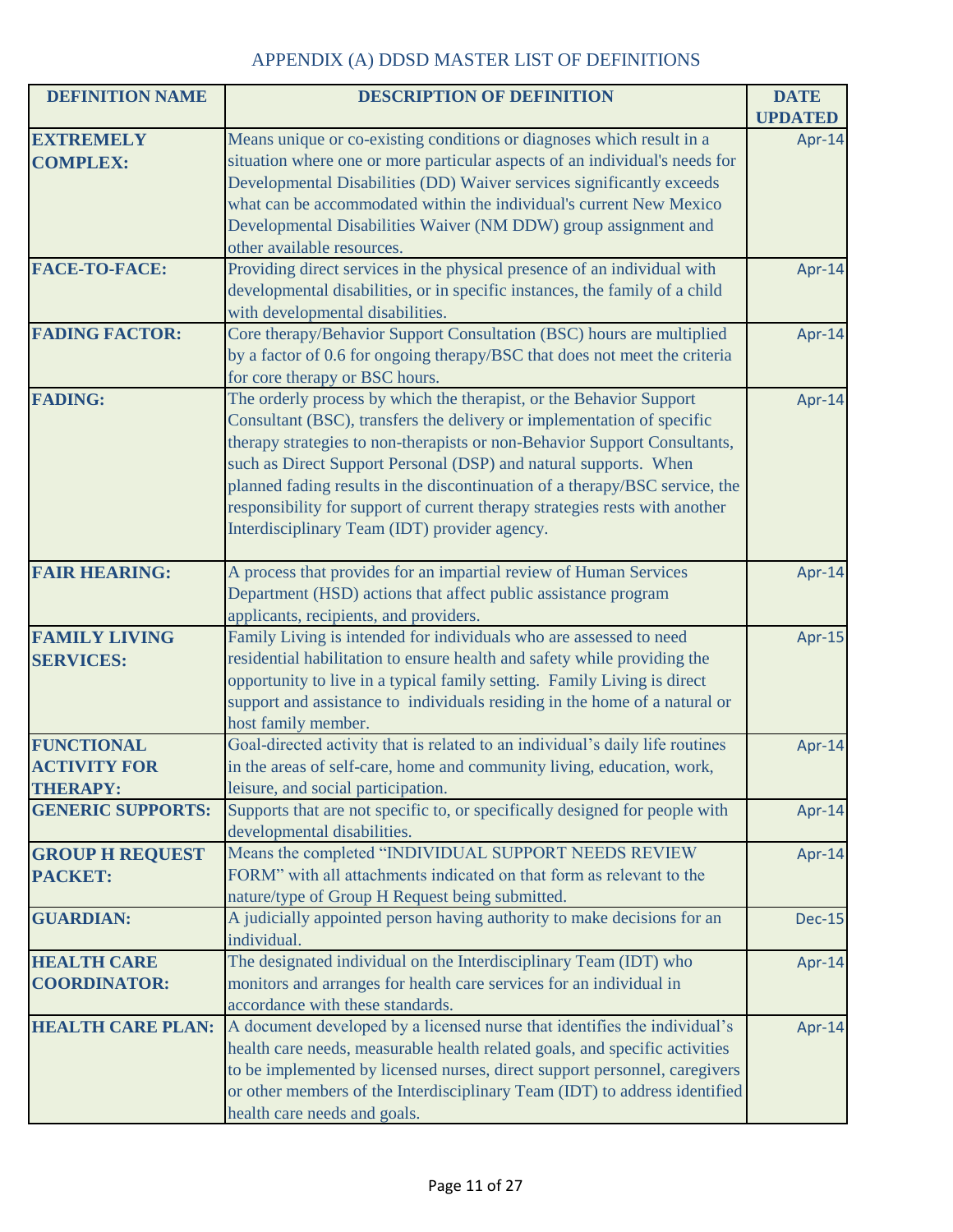| <b>DEFINITION NAME</b>   | <b>DESCRIPTION OF DEFINITION</b>                                              | <b>DATE</b>    |
|--------------------------|-------------------------------------------------------------------------------|----------------|
|                          |                                                                               | <b>UPDATED</b> |
| <b>EXTREMELY</b>         | Means unique or co-existing conditions or diagnoses which result in a         | Apr-14         |
| <b>COMPLEX:</b>          | situation where one or more particular aspects of an individual's needs for   |                |
|                          | Developmental Disabilities (DD) Waiver services significantly exceeds         |                |
|                          | what can be accommodated within the individual's current New Mexico           |                |
|                          | Developmental Disabilities Waiver (NM DDW) group assignment and               |                |
|                          | other available resources.                                                    |                |
| <b>FACE-TO-FACE:</b>     | Providing direct services in the physical presence of an individual with      | Apr-14         |
|                          | developmental disabilities, or in specific instances, the family of a child   |                |
|                          | with developmental disabilities.                                              |                |
| <b>FADING FACTOR:</b>    | Core therapy/Behavior Support Consultation (BSC) hours are multiplied         | Apr-14         |
|                          | by a factor of 0.6 for ongoing therapy/BSC that does not meet the criteria    |                |
|                          | for core therapy or BSC hours.                                                |                |
| <b>FADING:</b>           | The orderly process by which the therapist, or the Behavior Support           | Apr-14         |
|                          | Consultant (BSC), transfers the delivery or implementation of specific        |                |
|                          | therapy strategies to non-therapists or non-Behavior Support Consultants,     |                |
|                          | such as Direct Support Personal (DSP) and natural supports. When              |                |
|                          | planned fading results in the discontinuation of a therapy/BSC service, the   |                |
|                          | responsibility for support of current therapy strategies rests with another   |                |
|                          | Interdisciplinary Team (IDT) provider agency.                                 |                |
|                          |                                                                               |                |
| <b>FAIR HEARING:</b>     | A process that provides for an impartial review of Human Services             | Apr-14         |
|                          | Department (HSD) actions that affect public assistance program                |                |
|                          | applicants, recipients, and providers.                                        |                |
| <b>FAMILY LIVING</b>     | Family Living is intended for individuals who are assessed to need            | Apr-15         |
| <b>SERVICES:</b>         | residential habilitation to ensure health and safety while providing the      |                |
|                          | opportunity to live in a typical family setting. Family Living is direct      |                |
|                          | support and assistance to individuals residing in the home of a natural or    |                |
|                          | host family member.                                                           |                |
| <b>FUNCTIONAL</b>        | Goal-directed activity that is related to an individual's daily life routines | Apr-14         |
| <b>ACTIVITY FOR</b>      | in the areas of self-care, home and community living, education, work,        |                |
| <b>THERAPY:</b>          | leisure, and social participation.                                            |                |
| <b>GENERIC SUPPORTS:</b> | Supports that are not specific to, or specifically designed for people with   | Apr-14         |
|                          | developmental disabilities.                                                   |                |
| <b>GROUP H REQUEST</b>   | Means the completed "INDIVIDUAL SUPPORT NEEDS REVIEW                          | Apr-14         |
| PACKET:                  | FORM" with all attachments indicated on that form as relevant to the          |                |
|                          | nature/type of Group H Request being submitted.                               |                |
| <b>GUARDIAN:</b>         | A judicially appointed person having authority to make decisions for an       | <b>Dec-15</b>  |
|                          | individual.                                                                   |                |
| <b>HEALTH CARE</b>       | The designated individual on the Interdisciplinary Team (IDT) who             | Apr-14         |
| <b>COORDINATOR:</b>      | monitors and arranges for health care services for an individual in           |                |
|                          | accordance with these standards.                                              |                |
| <b>HEALTH CARE PLAN:</b> | A document developed by a licensed nurse that identifies the individual's     | Apr-14         |
|                          | health care needs, measurable health related goals, and specific activities   |                |
|                          | to be implemented by licensed nurses, direct support personnel, caregivers    |                |
|                          | or other members of the Interdisciplinary Team (IDT) to address identified    |                |
|                          | health care needs and goals.                                                  |                |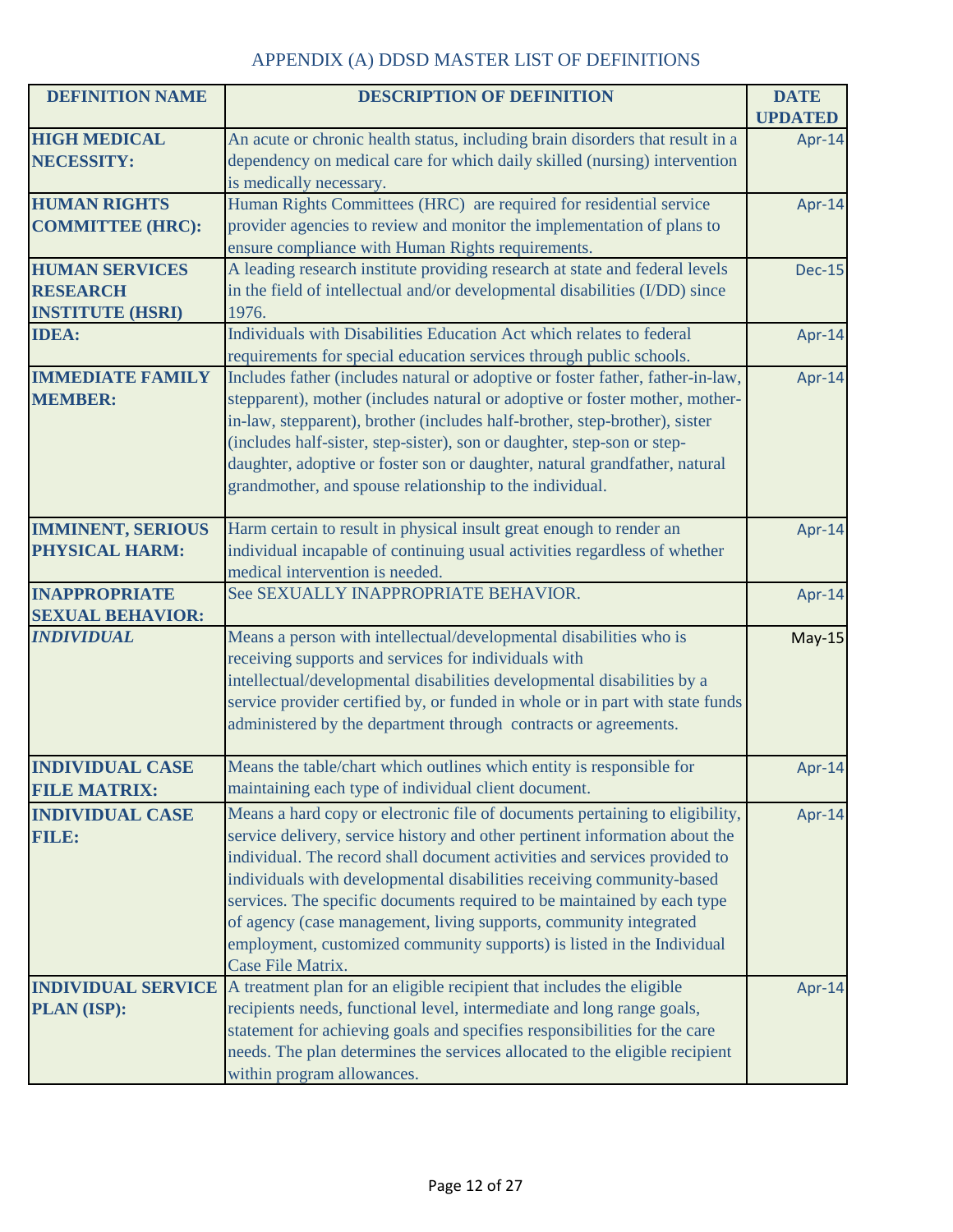| <b>DEFINITION NAME</b>   | <b>DESCRIPTION OF DEFINITION</b>                                                                | <b>DATE</b>    |
|--------------------------|-------------------------------------------------------------------------------------------------|----------------|
|                          |                                                                                                 | <b>UPDATED</b> |
| <b>HIGH MEDICAL</b>      | An acute or chronic health status, including brain disorders that result in a                   | Apr-14         |
| <b>NECESSITY:</b>        | dependency on medical care for which daily skilled (nursing) intervention                       |                |
|                          | is medically necessary.                                                                         |                |
| <b>HUMAN RIGHTS</b>      | Human Rights Committees (HRC) are required for residential service                              | Apr-14         |
| <b>COMMITTEE (HRC):</b>  | provider agencies to review and monitor the implementation of plans to                          |                |
|                          | ensure compliance with Human Rights requirements.                                               |                |
| <b>HUMAN SERVICES</b>    | A leading research institute providing research at state and federal levels                     | <b>Dec-15</b>  |
| <b>RESEARCH</b>          | in the field of intellectual and/or developmental disabilities (I/DD) since                     |                |
| <b>INSTITUTE (HSRI)</b>  | 1976.                                                                                           |                |
| <b>IDEA:</b>             | Individuals with Disabilities Education Act which relates to federal                            | Apr-14         |
|                          | requirements for special education services through public schools.                             |                |
| <b>IMMEDIATE FAMILY</b>  | Includes father (includes natural or adoptive or foster father, father-in-law,                  | Apr-14         |
| <b>MEMBER:</b>           | stepparent), mother (includes natural or adoptive or foster mother, mother-                     |                |
|                          | in-law, stepparent), brother (includes half-brother, step-brother), sister                      |                |
|                          | (includes half-sister, step-sister), son or daughter, step-son or step-                         |                |
|                          | daughter, adoptive or foster son or daughter, natural grandfather, natural                      |                |
|                          | grandmother, and spouse relationship to the individual.                                         |                |
| <b>IMMINENT, SERIOUS</b> | Harm certain to result in physical insult great enough to render an                             |                |
| <b>PHYSICAL HARM:</b>    | individual incapable of continuing usual activities regardless of whether                       | Apr-14         |
|                          | medical intervention is needed.                                                                 |                |
| <b>INAPPROPRIATE</b>     | See SEXUALLY INAPPROPRIATE BEHAVIOR.                                                            | Apr-14         |
| <b>SEXUAL BEHAVIOR:</b>  |                                                                                                 |                |
| <b>INDIVIDUAL</b>        | Means a person with intellectual/developmental disabilities who is                              | $May-15$       |
|                          | receiving supports and services for individuals with                                            |                |
|                          | intellectual/developmental disabilities developmental disabilities by a                         |                |
|                          | service provider certified by, or funded in whole or in part with state funds                   |                |
|                          | administered by the department through contracts or agreements.                                 |                |
|                          |                                                                                                 |                |
| <b>INDIVIDUAL CASE</b>   | Means the table/chart which outlines which entity is responsible for                            | Apr-14         |
| <b>FILE MATRIX:</b>      | maintaining each type of individual client document.                                            |                |
| <b>INDIVIDUAL CASE</b>   | Means a hard copy or electronic file of documents pertaining to eligibility,                    | Apr-14         |
| FILE:                    | service delivery, service history and other pertinent information about the                     |                |
|                          | individual. The record shall document activities and services provided to                       |                |
|                          | individuals with developmental disabilities receiving community-based                           |                |
|                          | services. The specific documents required to be maintained by each type                         |                |
|                          | of agency (case management, living supports, community integrated                               |                |
|                          | employment, customized community supports) is listed in the Individual                          |                |
|                          | Case File Matrix.                                                                               |                |
|                          | <b>INDIVIDUAL SERVICE</b> A treatment plan for an eligible recipient that includes the eligible | Apr-14         |
| PLAN (ISP):              | recipients needs, functional level, intermediate and long range goals,                          |                |
|                          | statement for achieving goals and specifies responsibilities for the care                       |                |
|                          | needs. The plan determines the services allocated to the eligible recipient                     |                |
|                          | within program allowances.                                                                      |                |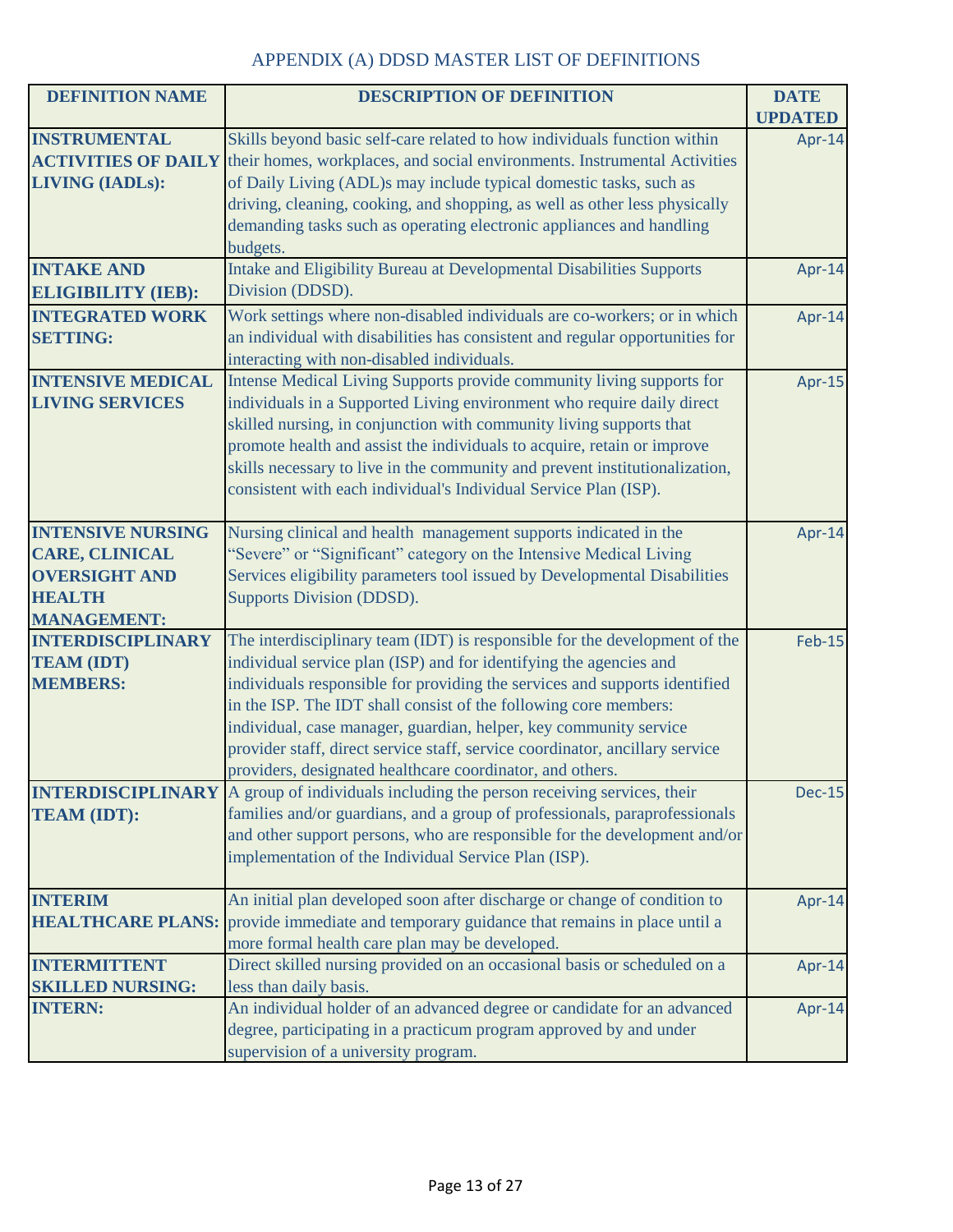| <b>DEFINITION NAME</b>                                                                                           | <b>DESCRIPTION OF DEFINITION</b>                                                                                                                                                                                                                                                                                                                                                                                                                                                                                     | <b>DATE</b><br><b>UPDATED</b> |
|------------------------------------------------------------------------------------------------------------------|----------------------------------------------------------------------------------------------------------------------------------------------------------------------------------------------------------------------------------------------------------------------------------------------------------------------------------------------------------------------------------------------------------------------------------------------------------------------------------------------------------------------|-------------------------------|
| <b>INSTRUMENTAL</b><br><b>LIVING (IADLs):</b>                                                                    | Skills beyond basic self-care related to how individuals function within<br><b>ACTIVITIES OF DAILY</b> their homes, workplaces, and social environments. Instrumental Activities<br>of Daily Living (ADL)s may include typical domestic tasks, such as<br>driving, cleaning, cooking, and shopping, as well as other less physically<br>demanding tasks such as operating electronic appliances and handling                                                                                                         | Apr-14                        |
| <b>INTAKE AND</b><br><b>ELIGIBILITY (IEB):</b>                                                                   | budgets.<br>Intake and Eligibility Bureau at Developmental Disabilities Supports<br>Division (DDSD).                                                                                                                                                                                                                                                                                                                                                                                                                 | Apr-14                        |
| <b>INTEGRATED WORK</b><br><b>SETTING:</b>                                                                        | Work settings where non-disabled individuals are co-workers; or in which<br>an individual with disabilities has consistent and regular opportunities for<br>interacting with non-disabled individuals.                                                                                                                                                                                                                                                                                                               | Apr-14                        |
| <b>INTENSIVE MEDICAL</b><br><b>LIVING SERVICES</b>                                                               | Intense Medical Living Supports provide community living supports for<br>individuals in a Supported Living environment who require daily direct<br>skilled nursing, in conjunction with community living supports that<br>promote health and assist the individuals to acquire, retain or improve<br>skills necessary to live in the community and prevent institutionalization,<br>consistent with each individual's Individual Service Plan (ISP).                                                                 | Apr-15                        |
| <b>INTENSIVE NURSING</b><br><b>CARE, CLINICAL</b><br><b>OVERSIGHT AND</b><br><b>HEALTH</b><br><b>MANAGEMENT:</b> | Nursing clinical and health management supports indicated in the<br>"Severe" or "Significant" category on the Intensive Medical Living<br>Services eligibility parameters tool issued by Developmental Disabilities<br><b>Supports Division (DDSD).</b>                                                                                                                                                                                                                                                              | Apr-14                        |
| <b>INTERDISCIPLINARY</b><br><b>TEAM (IDT)</b><br><b>MEMBERS:</b>                                                 | The interdisciplinary team (IDT) is responsible for the development of the<br>individual service plan (ISP) and for identifying the agencies and<br>individuals responsible for providing the services and supports identified<br>in the ISP. The IDT shall consist of the following core members:<br>individual, case manager, guardian, helper, key community service<br>provider staff, direct service staff, service coordinator, ancillary service<br>providers, designated healthcare coordinator, and others. | <b>Feb-15</b>                 |
| <b>INTERDISCIPLINARY</b><br><b>TEAM (IDT):</b>                                                                   | A group of individuals including the person receiving services, their<br>families and/or guardians, and a group of professionals, paraprofessionals<br>and other support persons, who are responsible for the development and/or<br>implementation of the Individual Service Plan (ISP).                                                                                                                                                                                                                             | <b>Dec-15</b>                 |
| <b>INTERIM</b><br><b>HEALTHCARE PLANS:</b>                                                                       | An initial plan developed soon after discharge or change of condition to<br>provide immediate and temporary guidance that remains in place until a<br>more formal health care plan may be developed.                                                                                                                                                                                                                                                                                                                 | Apr-14                        |
| <b>INTERMITTENT</b><br><b>SKILLED NURSING:</b>                                                                   | Direct skilled nursing provided on an occasional basis or scheduled on a<br>less than daily basis.                                                                                                                                                                                                                                                                                                                                                                                                                   | Apr-14                        |
| <b>INTERN:</b>                                                                                                   | An individual holder of an advanced degree or candidate for an advanced<br>degree, participating in a practicum program approved by and under<br>supervision of a university program.                                                                                                                                                                                                                                                                                                                                | Apr-14                        |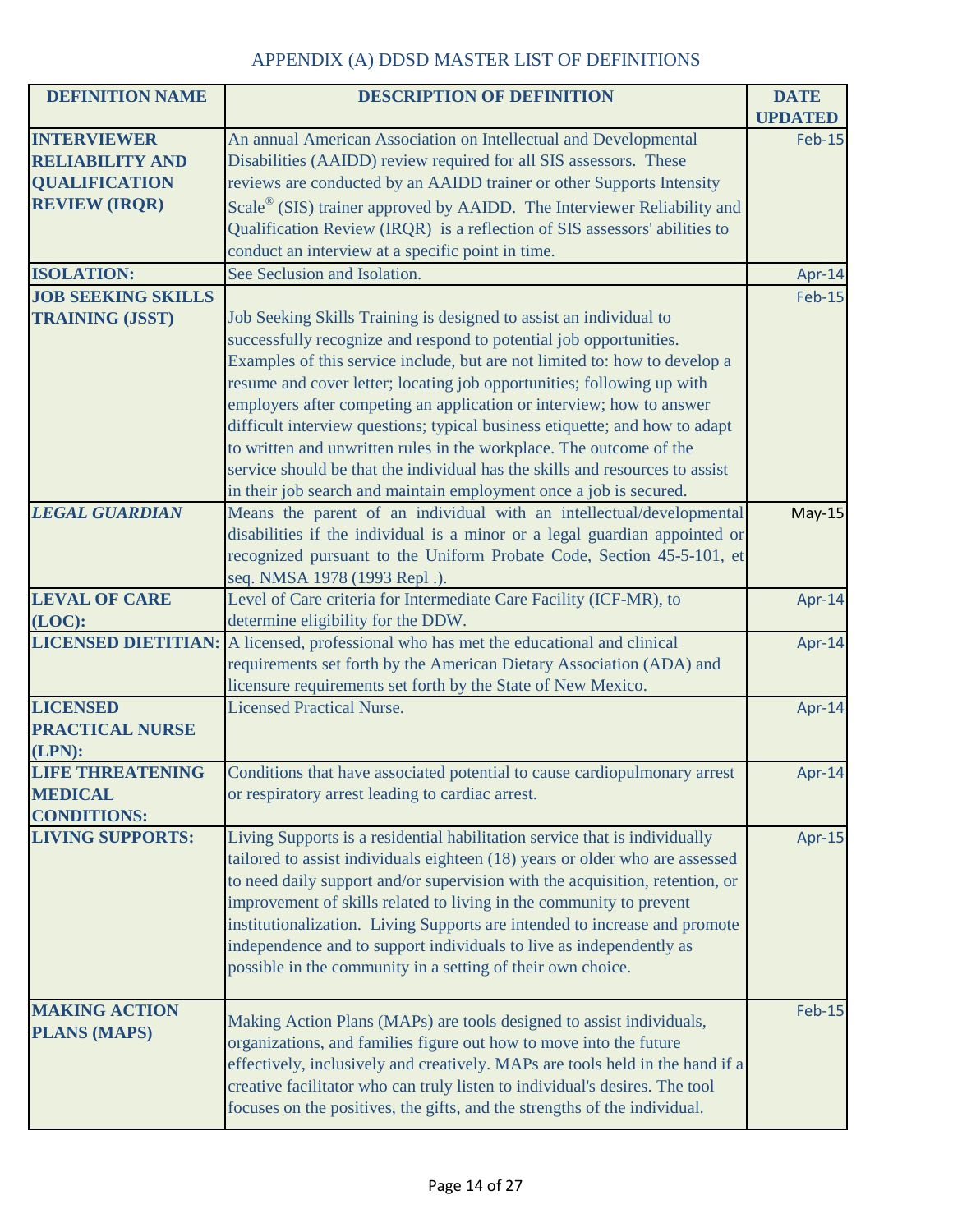| <b>DEFINITION NAME</b>    | <b>DESCRIPTION OF DEFINITION</b>                                                                                                   | <b>DATE</b>    |
|---------------------------|------------------------------------------------------------------------------------------------------------------------------------|----------------|
|                           |                                                                                                                                    | <b>UPDATED</b> |
| <b>INTERVIEWER</b>        | An annual American Association on Intellectual and Developmental                                                                   | <b>Feb-15</b>  |
| <b>RELIABILITY AND</b>    | Disabilities (AAIDD) review required for all SIS assessors. These                                                                  |                |
| <b>QUALIFICATION</b>      | reviews are conducted by an AAIDD trainer or other Supports Intensity                                                              |                |
| <b>REVIEW (IRQR)</b>      | Scale® (SIS) trainer approved by AAIDD. The Interviewer Reliability and                                                            |                |
|                           | Qualification Review (IRQR) is a reflection of SIS assessors' abilities to                                                         |                |
|                           | conduct an interview at a specific point in time.                                                                                  |                |
| <b>ISOLATION:</b>         | See Seclusion and Isolation.                                                                                                       | Apr-14         |
| <b>JOB SEEKING SKILLS</b> |                                                                                                                                    | <b>Feb-15</b>  |
| <b>TRAINING (JSST)</b>    | Job Seeking Skills Training is designed to assist an individual to                                                                 |                |
|                           | successfully recognize and respond to potential job opportunities.                                                                 |                |
|                           | Examples of this service include, but are not limited to: how to develop a                                                         |                |
|                           | resume and cover letter; locating job opportunities; following up with                                                             |                |
|                           | employers after competing an application or interview; how to answer                                                               |                |
|                           | difficult interview questions; typical business etiquette; and how to adapt                                                        |                |
|                           | to written and unwritten rules in the workplace. The outcome of the                                                                |                |
|                           | service should be that the individual has the skills and resources to assist                                                       |                |
|                           | in their job search and maintain employment once a job is secured.                                                                 |                |
| <b>LEGAL GUARDIAN</b>     | Means the parent of an individual with an intellectual/developmental                                                               | $May-15$       |
|                           | disabilities if the individual is a minor or a legal guardian appointed or                                                         |                |
|                           | recognized pursuant to the Uniform Probate Code, Section 45-5-101, et                                                              |                |
|                           | seq. NMSA 1978 (1993 Repl.).                                                                                                       |                |
| <b>LEVAL OF CARE</b>      | Level of Care criteria for Intermediate Care Facility (ICF-MR), to                                                                 | Apr-14         |
| $(LOC)$ :                 | determine eligibility for the DDW.                                                                                                 |                |
|                           | <b>LICENSED DIETITIAN:</b> A licensed, professional who has met the educational and clinical                                       | Apr-14         |
|                           | requirements set forth by the American Dietary Association (ADA) and                                                               |                |
|                           | licensure requirements set forth by the State of New Mexico.                                                                       |                |
| <b>LICENSED</b>           | <b>Licensed Practical Nurse.</b>                                                                                                   | Apr-14         |
| <b>PRACTICAL NURSE</b>    |                                                                                                                                    |                |
| (LPN):                    |                                                                                                                                    |                |
| <b>LIFE THREATENING</b>   | Conditions that have associated potential to cause cardiopulmonary arrest                                                          | Apr-14         |
| <b>MEDICAL</b>            | or respiratory arrest leading to cardiac arrest.                                                                                   |                |
| <b>CONDITIONS:</b>        |                                                                                                                                    |                |
| <b>LIVING SUPPORTS:</b>   | Living Supports is a residential habilitation service that is individually                                                         | Apr-15         |
|                           | tailored to assist individuals eighteen (18) years or older who are assessed                                                       |                |
|                           | to need daily support and/or supervision with the acquisition, retention, or                                                       |                |
|                           | improvement of skills related to living in the community to prevent                                                                |                |
|                           | institutionalization. Living Supports are intended to increase and promote                                                         |                |
|                           | independence and to support individuals to live as independently as<br>possible in the community in a setting of their own choice. |                |
|                           |                                                                                                                                    |                |
| <b>MAKING ACTION</b>      |                                                                                                                                    | <b>Feb-15</b>  |
| <b>PLANS (MAPS)</b>       | Making Action Plans (MAPs) are tools designed to assist individuals,                                                               |                |
|                           | organizations, and families figure out how to move into the future                                                                 |                |
|                           | effectively, inclusively and creatively. MAPs are tools held in the hand if a                                                      |                |
|                           | creative facilitator who can truly listen to individual's desires. The tool                                                        |                |
|                           | focuses on the positives, the gifts, and the strengths of the individual.                                                          |                |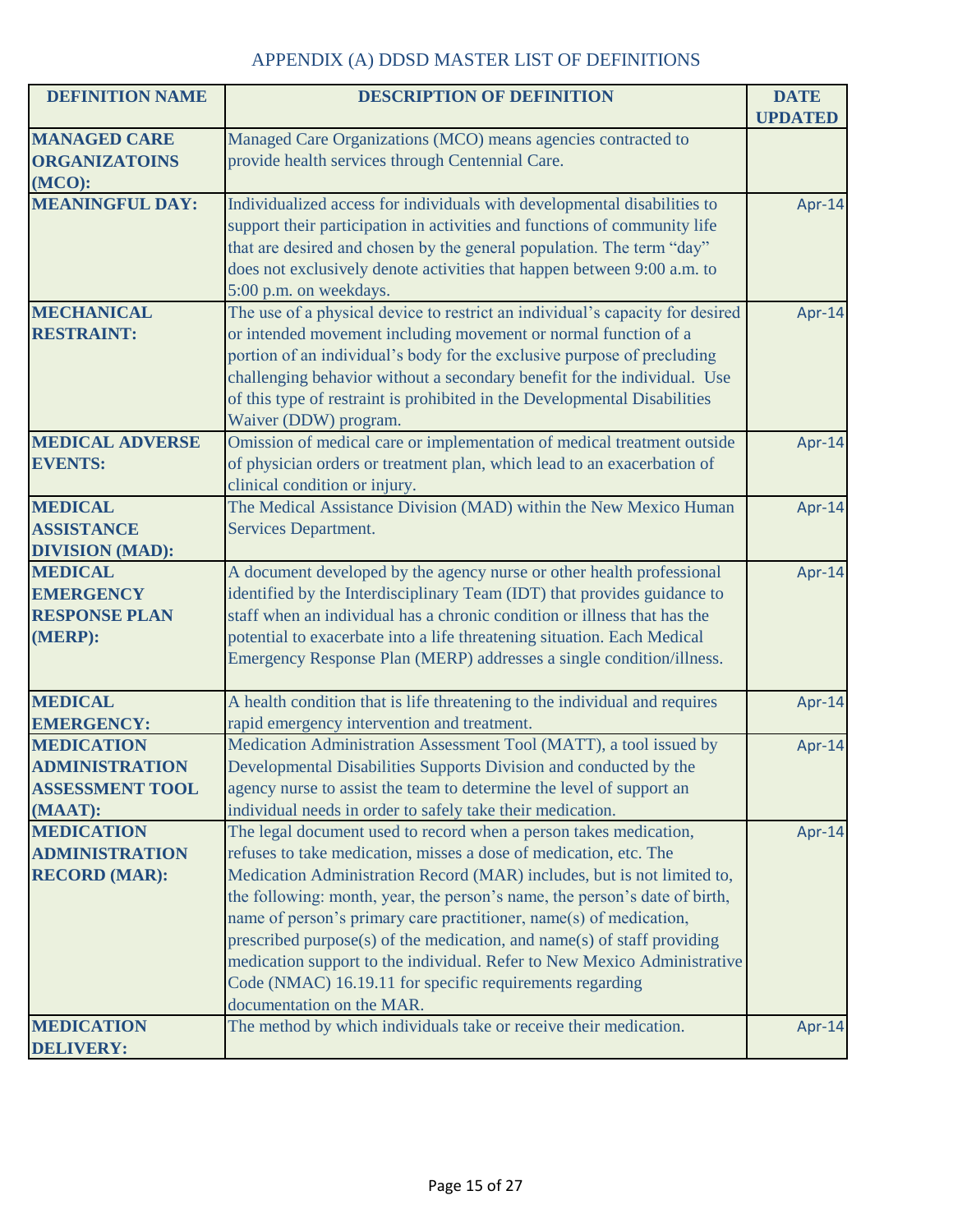| <b>DEFINITION NAME</b>                                                          | <b>DESCRIPTION OF DEFINITION</b>                                                                                                                                                                                                                                                                                                                                                                                                                                                                                                                                                                                      | <b>DATE</b><br><b>UPDATED</b> |
|---------------------------------------------------------------------------------|-----------------------------------------------------------------------------------------------------------------------------------------------------------------------------------------------------------------------------------------------------------------------------------------------------------------------------------------------------------------------------------------------------------------------------------------------------------------------------------------------------------------------------------------------------------------------------------------------------------------------|-------------------------------|
| <b>MANAGED CARE</b><br><b>ORGANIZATOINS</b><br>(MCO):                           | Managed Care Organizations (MCO) means agencies contracted to<br>provide health services through Centennial Care.                                                                                                                                                                                                                                                                                                                                                                                                                                                                                                     |                               |
| <b>MEANINGFUL DAY:</b>                                                          | Individualized access for individuals with developmental disabilities to<br>support their participation in activities and functions of community life<br>that are desired and chosen by the general population. The term "day"<br>does not exclusively denote activities that happen between 9:00 a.m. to<br>5:00 p.m. on weekdays.                                                                                                                                                                                                                                                                                   | Apr-14                        |
| <b>MECHANICAL</b><br><b>RESTRAINT:</b>                                          | The use of a physical device to restrict an individual's capacity for desired<br>or intended movement including movement or normal function of a<br>portion of an individual's body for the exclusive purpose of precluding<br>challenging behavior without a secondary benefit for the individual. Use<br>of this type of restraint is prohibited in the Developmental Disabilities<br>Waiver (DDW) program.                                                                                                                                                                                                         | Apr-14                        |
| <b>MEDICAL ADVERSE</b><br><b>EVENTS:</b>                                        | Omission of medical care or implementation of medical treatment outside<br>of physician orders or treatment plan, which lead to an exacerbation of<br>clinical condition or injury.                                                                                                                                                                                                                                                                                                                                                                                                                                   | Apr-14                        |
| <b>MEDICAL</b><br><b>ASSISTANCE</b><br><b>DIVISION (MAD):</b>                   | The Medical Assistance Division (MAD) within the New Mexico Human<br><b>Services Department.</b>                                                                                                                                                                                                                                                                                                                                                                                                                                                                                                                      | Apr-14                        |
| <b>MEDICAL</b><br><b>EMERGENCY</b><br><b>RESPONSE PLAN</b><br>(MERP):           | A document developed by the agency nurse or other health professional<br>identified by the Interdisciplinary Team (IDT) that provides guidance to<br>staff when an individual has a chronic condition or illness that has the<br>potential to exacerbate into a life threatening situation. Each Medical<br>Emergency Response Plan (MERP) addresses a single condition/illness.                                                                                                                                                                                                                                      | Apr-14                        |
| <b>MEDICAL</b><br><b>EMERGENCY:</b>                                             | A health condition that is life threatening to the individual and requires<br>rapid emergency intervention and treatment.                                                                                                                                                                                                                                                                                                                                                                                                                                                                                             | Apr-14                        |
| <b>MEDICATION</b><br><b>ADMINISTRATION</b><br><b>ASSESSMENT TOOL</b><br>(MAAT): | Medication Administration Assessment Tool (MATT), a tool issued by<br>Developmental Disabilities Supports Division and conducted by the<br>agency nurse to assist the team to determine the level of support an<br>individual needs in order to safely take their medication.                                                                                                                                                                                                                                                                                                                                         | Apr-14                        |
| <b>MEDICATION</b><br><b>ADMINISTRATION</b><br><b>RECORD (MAR):</b>              | The legal document used to record when a person takes medication,<br>refuses to take medication, misses a dose of medication, etc. The<br>Medication Administration Record (MAR) includes, but is not limited to,<br>the following: month, year, the person's name, the person's date of birth,<br>name of person's primary care practitioner, name(s) of medication,<br>prescribed purpose(s) of the medication, and name(s) of staff providing<br>medication support to the individual. Refer to New Mexico Administrative<br>Code (NMAC) 16.19.11 for specific requirements regarding<br>documentation on the MAR. | Apr-14                        |
| <b>MEDICATION</b><br><b>DELIVERY:</b>                                           | The method by which individuals take or receive their medication.                                                                                                                                                                                                                                                                                                                                                                                                                                                                                                                                                     | Apr-14                        |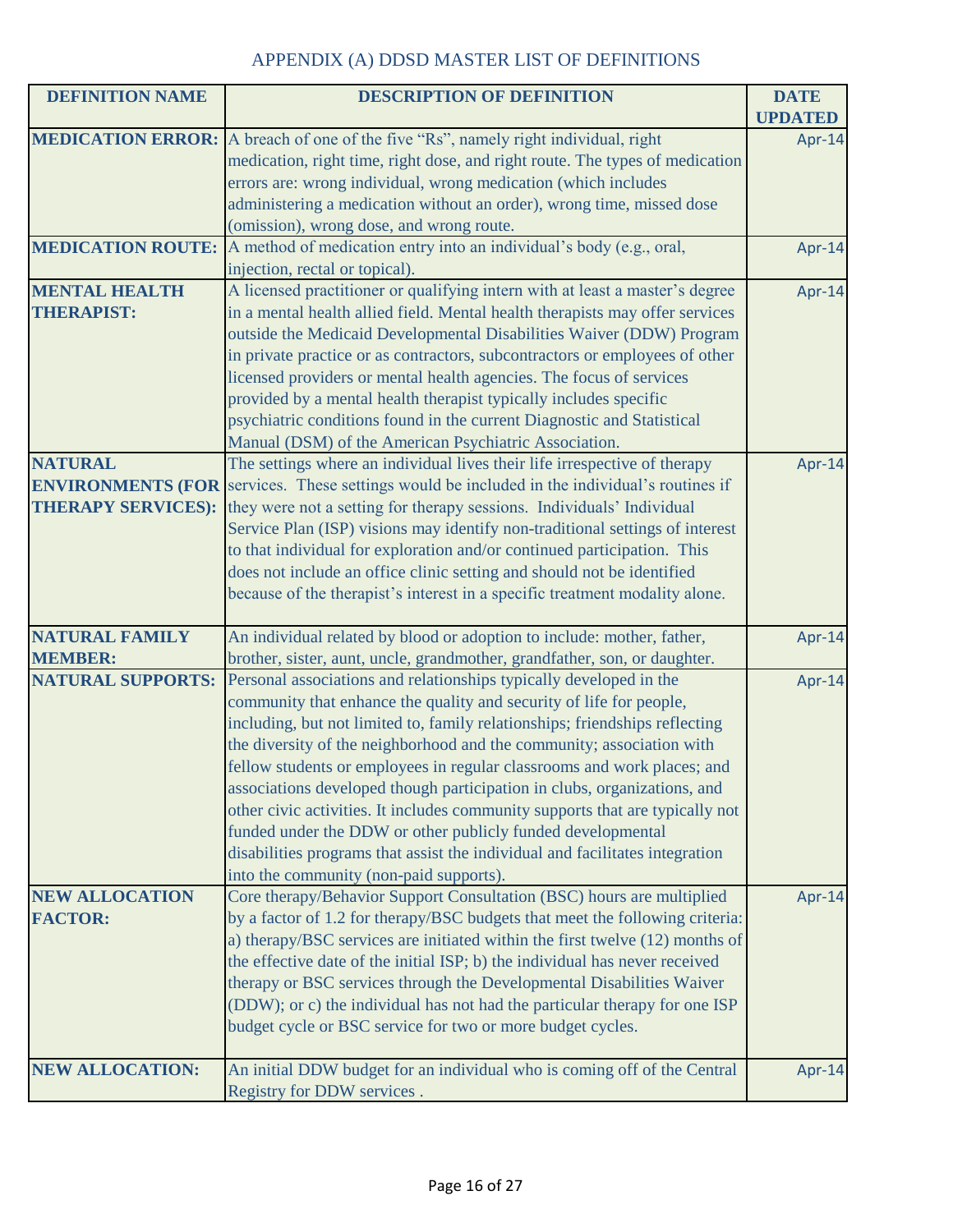| <b>DEFINITION NAME</b>   | <b>DESCRIPTION OF DEFINITION</b>                                                                    | <b>DATE</b>    |
|--------------------------|-----------------------------------------------------------------------------------------------------|----------------|
|                          |                                                                                                     | <b>UPDATED</b> |
|                          | <b>MEDICATION ERROR:</b> A breach of one of the five "Rs", namely right individual, right           | Apr-14         |
|                          | medication, right time, right dose, and right route. The types of medication                        |                |
|                          | errors are: wrong individual, wrong medication (which includes                                      |                |
|                          | administering a medication without an order), wrong time, missed dose                               |                |
|                          | (omission), wrong dose, and wrong route.                                                            |                |
| <b>MEDICATION ROUTE:</b> | A method of medication entry into an individual's body (e.g., oral,                                 | Apr-14         |
|                          | injection, rectal or topical).                                                                      |                |
| <b>MENTAL HEALTH</b>     | A licensed practitioner or qualifying intern with at least a master's degree                        | Apr-14         |
| <b>THERAPIST:</b>        | in a mental health allied field. Mental health therapists may offer services                        |                |
|                          | outside the Medicaid Developmental Disabilities Waiver (DDW) Program                                |                |
|                          | in private practice or as contractors, subcontractors or employees of other                         |                |
|                          | licensed providers or mental health agencies. The focus of services                                 |                |
|                          | provided by a mental health therapist typically includes specific                                   |                |
|                          | psychiatric conditions found in the current Diagnostic and Statistical                              |                |
|                          | Manual (DSM) of the American Psychiatric Association.                                               |                |
| <b>NATURAL</b>           | The settings where an individual lives their life irrespective of therapy                           | Apr-14         |
|                          | <b>ENVIRONMENTS (FOR</b> services. These settings would be included in the individual's routines if |                |
|                          | <b>THERAPY SERVICES):</b> they were not a setting for therapy sessions. Individuals' Individual     |                |
|                          | Service Plan (ISP) visions may identify non-traditional settings of interest                        |                |
|                          | to that individual for exploration and/or continued participation. This                             |                |
|                          | does not include an office clinic setting and should not be identified                              |                |
|                          | because of the therapist's interest in a specific treatment modality alone.                         |                |
| <b>NATURAL FAMILY</b>    | An individual related by blood or adoption to include: mother, father,                              | Apr-14         |
| <b>MEMBER:</b>           | brother, sister, aunt, uncle, grandmother, grandfather, son, or daughter.                           |                |
| <b>NATURAL SUPPORTS:</b> | Personal associations and relationships typically developed in the                                  | Apr-14         |
|                          | community that enhance the quality and security of life for people,                                 |                |
|                          | including, but not limited to, family relationships; friendships reflecting                         |                |
|                          | the diversity of the neighborhood and the community; association with                               |                |
|                          | fellow students or employees in regular classrooms and work places; and                             |                |
|                          | associations developed though participation in clubs, organizations, and                            |                |
|                          | other civic activities. It includes community supports that are typically not                       |                |
|                          | funded under the DDW or other publicly funded developmental                                         |                |
|                          | disabilities programs that assist the individual and facilitates integration                        |                |
|                          | into the community (non-paid supports).                                                             |                |
| <b>NEW ALLOCATION</b>    | Core therapy/Behavior Support Consultation (BSC) hours are multiplied                               | Apr-14         |
| <b>FACTOR:</b>           | by a factor of 1.2 for therapy/BSC budgets that meet the following criteria:                        |                |
|                          | a) therapy/BSC services are initiated within the first twelve (12) months of                        |                |
|                          | the effective date of the initial ISP; b) the individual has never received                         |                |
|                          | therapy or BSC services through the Developmental Disabilities Waiver                               |                |
|                          | (DDW); or c) the individual has not had the particular therapy for one ISP                          |                |
|                          | budget cycle or BSC service for two or more budget cycles.                                          |                |
|                          |                                                                                                     |                |
| <b>NEW ALLOCATION:</b>   | An initial DDW budget for an individual who is coming off of the Central                            | Apr-14         |
|                          | Registry for DDW services.                                                                          |                |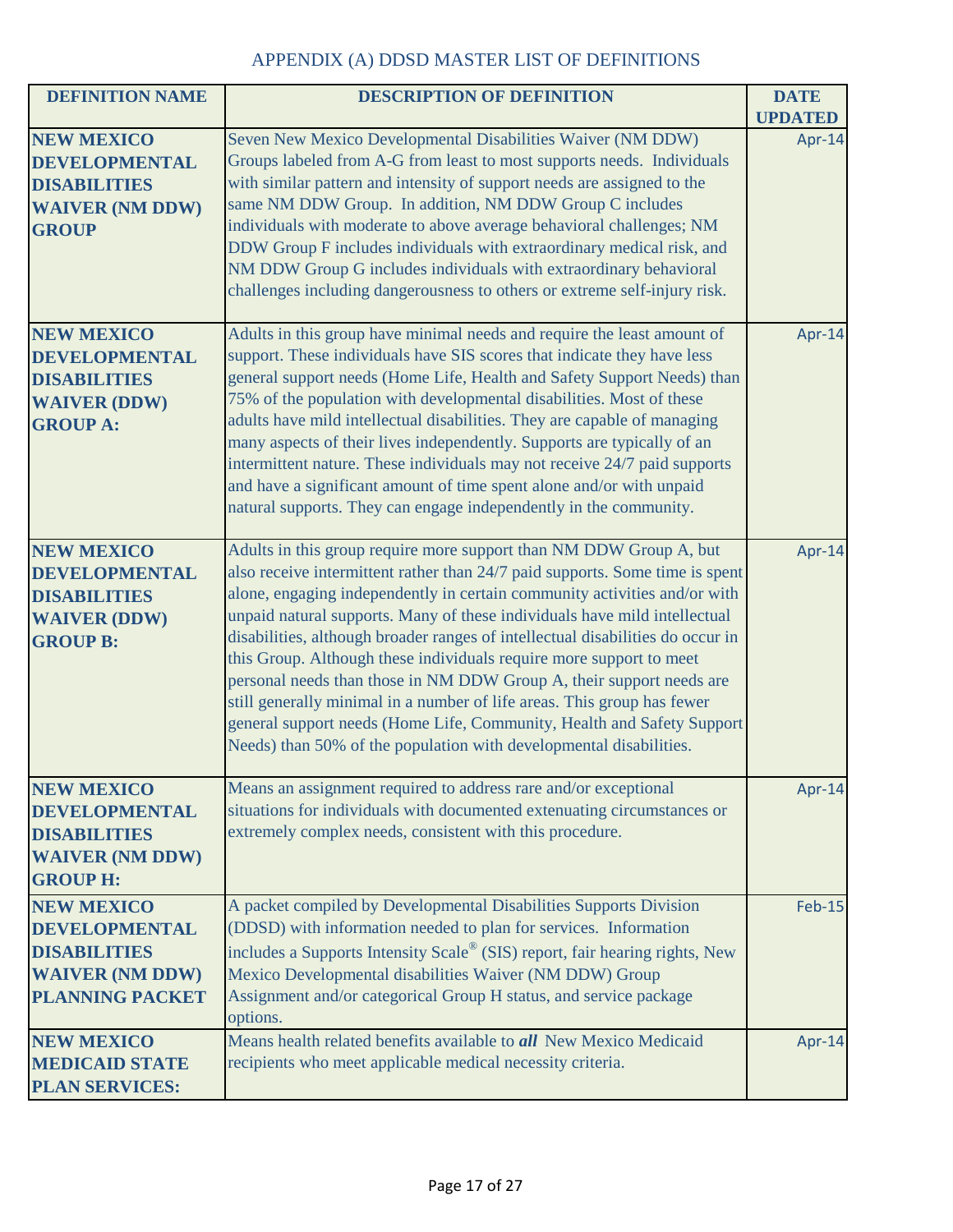| <b>DEFINITION NAME</b>                                                                                               | <b>DESCRIPTION OF DEFINITION</b>                                                                                                                                                                                                                                                                                                                                                                                                                                                                                                                                                                                                                                                                                                                                         | <b>DATE</b>    |
|----------------------------------------------------------------------------------------------------------------------|--------------------------------------------------------------------------------------------------------------------------------------------------------------------------------------------------------------------------------------------------------------------------------------------------------------------------------------------------------------------------------------------------------------------------------------------------------------------------------------------------------------------------------------------------------------------------------------------------------------------------------------------------------------------------------------------------------------------------------------------------------------------------|----------------|
|                                                                                                                      |                                                                                                                                                                                                                                                                                                                                                                                                                                                                                                                                                                                                                                                                                                                                                                          | <b>UPDATED</b> |
| <b>NEW MEXICO</b><br><b>DEVELOPMENTAL</b><br><b>DISABILITIES</b><br><b>WAIVER (NM DDW)</b><br><b>GROUP</b>           | Seven New Mexico Developmental Disabilities Waiver (NM DDW)<br>Groups labeled from A-G from least to most supports needs. Individuals<br>with similar pattern and intensity of support needs are assigned to the<br>same NM DDW Group. In addition, NM DDW Group C includes<br>individuals with moderate to above average behavioral challenges; NM<br>DDW Group F includes individuals with extraordinary medical risk, and<br>NM DDW Group G includes individuals with extraordinary behavioral<br>challenges including dangerousness to others or extreme self-injury risk.                                                                                                                                                                                           | Apr-14         |
| <b>NEW MEXICO</b><br><b>DEVELOPMENTAL</b><br><b>DISABILITIES</b><br><b>WAIVER (DDW)</b><br><b>GROUP A:</b>           | Adults in this group have minimal needs and require the least amount of<br>support. These individuals have SIS scores that indicate they have less<br>general support needs (Home Life, Health and Safety Support Needs) than<br>75% of the population with developmental disabilities. Most of these<br>adults have mild intellectual disabilities. They are capable of managing<br>many aspects of their lives independently. Supports are typically of an<br>intermittent nature. These individuals may not receive 24/7 paid supports<br>and have a significant amount of time spent alone and/or with unpaid<br>natural supports. They can engage independently in the community.                                                                                   | Apr-14         |
| <b>NEW MEXICO</b><br><b>DEVELOPMENTAL</b><br><b>DISABILITIES</b><br><b>WAIVER (DDW)</b><br><b>GROUP B:</b>           | Adults in this group require more support than NM DDW Group A, but<br>also receive intermittent rather than 24/7 paid supports. Some time is spent<br>alone, engaging independently in certain community activities and/or with<br>unpaid natural supports. Many of these individuals have mild intellectual<br>disabilities, although broader ranges of intellectual disabilities do occur in<br>this Group. Although these individuals require more support to meet<br>personal needs than those in NM DDW Group A, their support needs are<br>still generally minimal in a number of life areas. This group has fewer<br>general support needs (Home Life, Community, Health and Safety Support<br>Needs) than 50% of the population with developmental disabilities. | Apr-14         |
| <b>NEW MEXICO</b><br><b>DEVELOPMENTAL</b><br><b>DISABILITIES</b><br><b>WAIVER (NM DDW)</b><br><b>GROUP H:</b>        | Means an assignment required to address rare and/or exceptional<br>situations for individuals with documented extenuating circumstances or<br>extremely complex needs, consistent with this procedure.                                                                                                                                                                                                                                                                                                                                                                                                                                                                                                                                                                   | Apr-14         |
| <b>NEW MEXICO</b><br><b>DEVELOPMENTAL</b><br><b>DISABILITIES</b><br><b>WAIVER (NM DDW)</b><br><b>PLANNING PACKET</b> | A packet compiled by Developmental Disabilities Supports Division<br>(DDSD) with information needed to plan for services. Information<br>includes a Supports Intensity Scale® (SIS) report, fair hearing rights, New<br>Mexico Developmental disabilities Waiver (NM DDW) Group<br>Assignment and/or categorical Group H status, and service package<br>options.                                                                                                                                                                                                                                                                                                                                                                                                         | <b>Feb-15</b>  |
| <b>NEW MEXICO</b><br><b>MEDICAID STATE</b><br><b>PLAN SERVICES:</b>                                                  | Means health related benefits available to all New Mexico Medicaid<br>recipients who meet applicable medical necessity criteria.                                                                                                                                                                                                                                                                                                                                                                                                                                                                                                                                                                                                                                         | Apr-14         |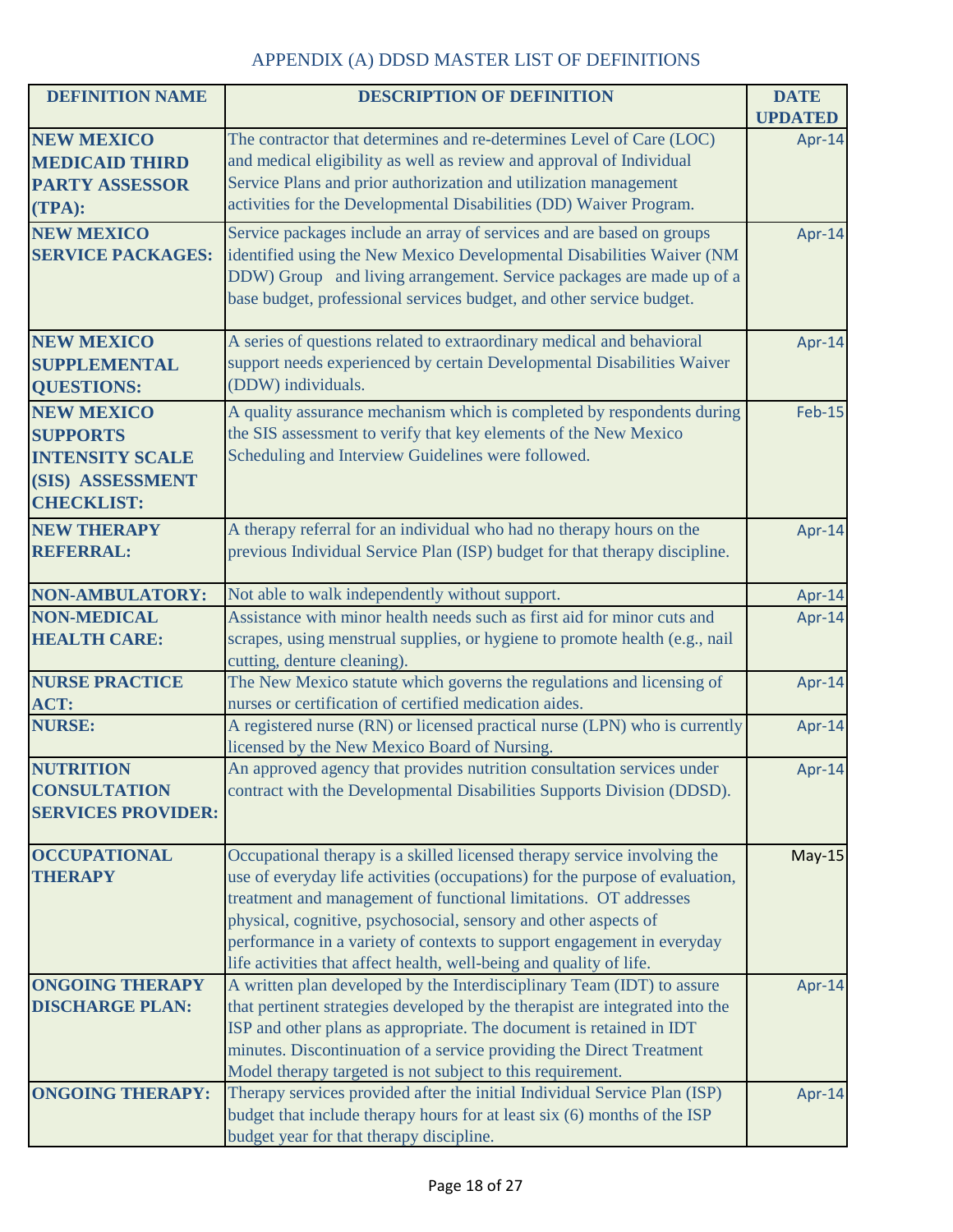| <b>DEFINITION NAME</b>    | <b>DESCRIPTION OF DEFINITION</b>                                                                                           | <b>DATE</b>    |
|---------------------------|----------------------------------------------------------------------------------------------------------------------------|----------------|
|                           |                                                                                                                            | <b>UPDATED</b> |
| <b>NEW MEXICO</b>         | The contractor that determines and re-determines Level of Care (LOC)                                                       | Apr-14         |
| <b>MEDICAID THIRD</b>     | and medical eligibility as well as review and approval of Individual                                                       |                |
| <b>PARTY ASSESSOR</b>     | Service Plans and prior authorization and utilization management                                                           |                |
| (TPA):                    | activities for the Developmental Disabilities (DD) Waiver Program.                                                         |                |
| <b>NEW MEXICO</b>         | Service packages include an array of services and are based on groups                                                      | Apr-14         |
| <b>SERVICE PACKAGES:</b>  | identified using the New Mexico Developmental Disabilities Waiver (NM                                                      |                |
|                           | DDW) Group and living arrangement. Service packages are made up of a                                                       |                |
|                           | base budget, professional services budget, and other service budget.                                                       |                |
| <b>NEW MEXICO</b>         | A series of questions related to extraordinary medical and behavioral                                                      | Apr-14         |
| <b>SUPPLEMENTAL</b>       | support needs experienced by certain Developmental Disabilities Waiver                                                     |                |
| <b>QUESTIONS:</b>         | (DDW) individuals.                                                                                                         |                |
| <b>NEW MEXICO</b>         | A quality assurance mechanism which is completed by respondents during                                                     | <b>Feb-15</b>  |
| <b>SUPPORTS</b>           | the SIS assessment to verify that key elements of the New Mexico                                                           |                |
| <b>INTENSITY SCALE</b>    | Scheduling and Interview Guidelines were followed.                                                                         |                |
| (SIS) ASSESSMENT          |                                                                                                                            |                |
| <b>CHECKLIST:</b>         |                                                                                                                            |                |
| <b>NEW THERAPY</b>        | A therapy referral for an individual who had no therapy hours on the                                                       | Apr-14         |
| <b>REFERRAL:</b>          | previous Individual Service Plan (ISP) budget for that therapy discipline.                                                 |                |
| <b>NON-AMBULATORY:</b>    | Not able to walk independently without support.                                                                            | Apr-14         |
| <b>NON-MEDICAL</b>        | Assistance with minor health needs such as first aid for minor cuts and                                                    | Apr-14         |
| <b>HEALTH CARE:</b>       | scrapes, using menstrual supplies, or hygiene to promote health (e.g., nail                                                |                |
|                           | cutting, denture cleaning).                                                                                                |                |
| <b>NURSE PRACTICE</b>     | The New Mexico statute which governs the regulations and licensing of                                                      | Apr-14         |
| ACT:                      | nurses or certification of certified medication aides.                                                                     |                |
| <b>NURSE:</b>             | A registered nurse (RN) or licensed practical nurse (LPN) who is currently<br>licensed by the New Mexico Board of Nursing. | Apr-14         |
| <b>NUTRITION</b>          | An approved agency that provides nutrition consultation services under                                                     | Apr-14         |
| <b>CONSULTATION</b>       | contract with the Developmental Disabilities Supports Division (DDSD).                                                     |                |
| <b>SERVICES PROVIDER:</b> |                                                                                                                            |                |
| <b>OCCUPATIONAL</b>       | Occupational therapy is a skilled licensed therapy service involving the                                                   | $May-15$       |
| <b>THERAPY</b>            | use of everyday life activities (occupations) for the purpose of evaluation,                                               |                |
|                           | treatment and management of functional limitations. OT addresses                                                           |                |
|                           | physical, cognitive, psychosocial, sensory and other aspects of                                                            |                |
|                           | performance in a variety of contexts to support engagement in everyday                                                     |                |
|                           | life activities that affect health, well-being and quality of life.                                                        |                |
| <b>ONGOING THERAPY</b>    | A written plan developed by the Interdisciplinary Team (IDT) to assure                                                     | Apr-14         |
| <b>DISCHARGE PLAN:</b>    | that pertinent strategies developed by the therapist are integrated into the                                               |                |
|                           | ISP and other plans as appropriate. The document is retained in IDT                                                        |                |
|                           | minutes. Discontinuation of a service providing the Direct Treatment                                                       |                |
|                           | Model therapy targeted is not subject to this requirement.                                                                 |                |
| <b>ONGOING THERAPY:</b>   | Therapy services provided after the initial Individual Service Plan (ISP)                                                  | Apr-14         |
|                           | budget that include therapy hours for at least six (6) months of the ISP                                                   |                |
|                           | budget year for that therapy discipline.                                                                                   |                |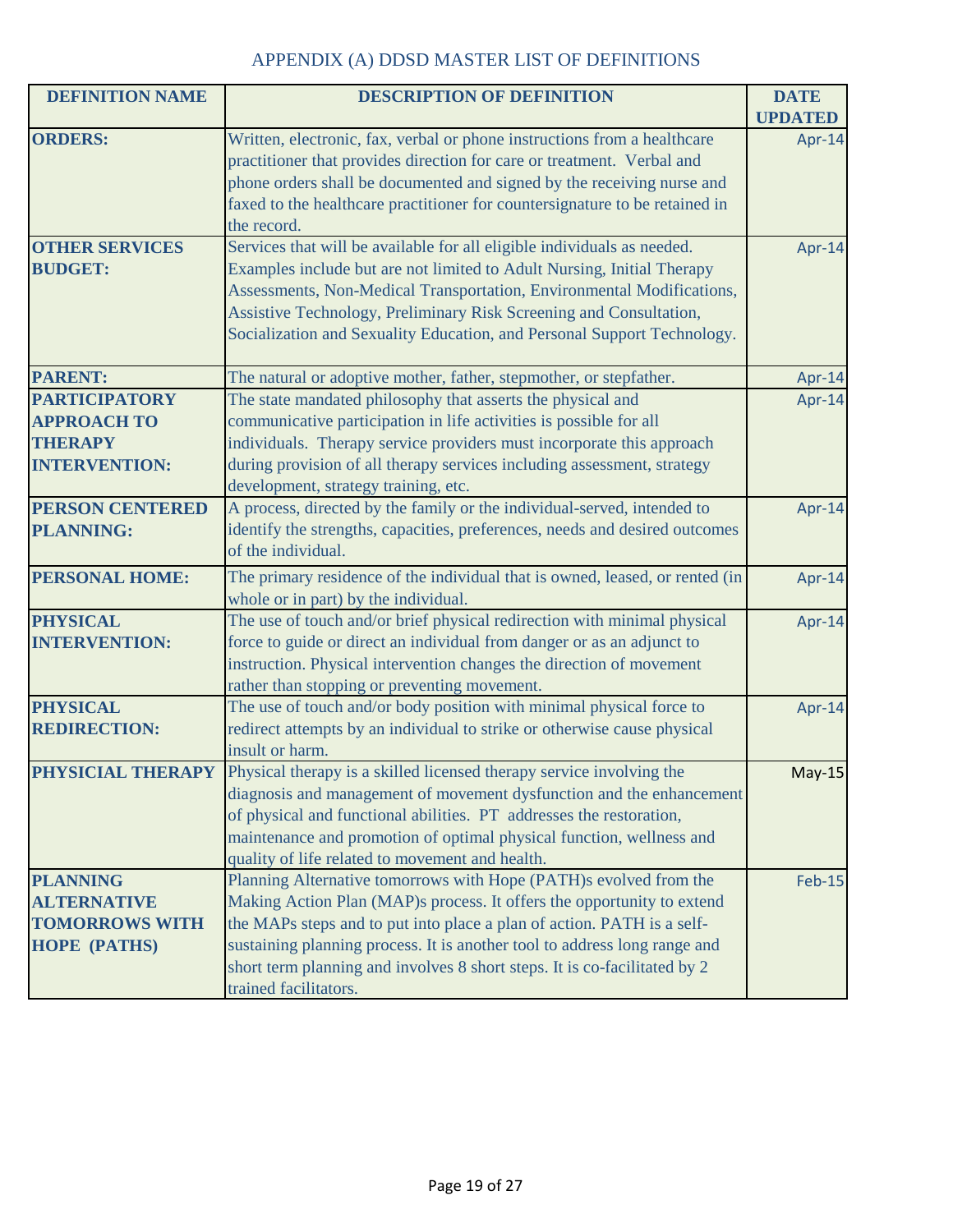| <b>DEFINITION NAME</b> | <b>DESCRIPTION OF DEFINITION</b>                                             | <b>DATE</b>    |
|------------------------|------------------------------------------------------------------------------|----------------|
|                        |                                                                              | <b>UPDATED</b> |
| <b>ORDERS:</b>         | Written, electronic, fax, verbal or phone instructions from a healthcare     | Apr-14         |
|                        | practitioner that provides direction for care or treatment. Verbal and       |                |
|                        | phone orders shall be documented and signed by the receiving nurse and       |                |
|                        | faxed to the healthcare practitioner for countersignature to be retained in  |                |
|                        | the record.                                                                  |                |
| <b>OTHER SERVICES</b>  | Services that will be available for all eligible individuals as needed.      | Apr-14         |
| <b>BUDGET:</b>         | Examples include but are not limited to Adult Nursing, Initial Therapy       |                |
|                        | Assessments, Non-Medical Transportation, Environmental Modifications,        |                |
|                        | Assistive Technology, Preliminary Risk Screening and Consultation,           |                |
|                        | Socialization and Sexuality Education, and Personal Support Technology.      |                |
| <b>PARENT:</b>         | The natural or adoptive mother, father, stepmother, or stepfather.           | Apr-14         |
| <b>PARTICIPATORY</b>   | The state mandated philosophy that asserts the physical and                  | Apr-14         |
| <b>APPROACH TO</b>     | communicative participation in life activities is possible for all           |                |
| <b>THERAPY</b>         | individuals. Therapy service providers must incorporate this approach        |                |
| <b>INTERVENTION:</b>   | during provision of all therapy services including assessment, strategy      |                |
|                        | development, strategy training, etc.                                         |                |
| <b>PERSON CENTERED</b> | A process, directed by the family or the individual-served, intended to      | Apr-14         |
| <b>PLANNING:</b>       | identify the strengths, capacities, preferences, needs and desired outcomes  |                |
|                        | of the individual.                                                           |                |
| <b>PERSONAL HOME:</b>  | The primary residence of the individual that is owned, leased, or rented (in | Apr-14         |
|                        | whole or in part) by the individual.                                         |                |
| <b>PHYSICAL</b>        | The use of touch and/or brief physical redirection with minimal physical     | Apr-14         |
| <b>INTERVENTION:</b>   | force to guide or direct an individual from danger or as an adjunct to       |                |
|                        | instruction. Physical intervention changes the direction of movement         |                |
|                        | rather than stopping or preventing movement.                                 |                |
| <b>PHYSICAL</b>        | The use of touch and/or body position with minimal physical force to         | Apr-14         |
| <b>REDIRECTION:</b>    | redirect attempts by an individual to strike or otherwise cause physical     |                |
|                        | insult or harm.                                                              |                |
| PHYSICIAL THERAPY      | Physical therapy is a skilled licensed therapy service involving the         | <b>May-15</b>  |
|                        | diagnosis and management of movement dysfunction and the enhancement         |                |
|                        | of physical and functional abilities. PT addresses the restoration,          |                |
|                        | maintenance and promotion of optimal physical function, wellness and         |                |
|                        | quality of life related to movement and health.                              |                |
| <b>PLANNING</b>        | Planning Alternative tomorrows with Hope (PATH)s evolved from the            | <b>Feb-15</b>  |
| <b>ALTERNATIVE</b>     | Making Action Plan (MAP)s process. It offers the opportunity to extend       |                |
| <b>TOMORROWS WITH</b>  | the MAPs steps and to put into place a plan of action. PATH is a self-       |                |
| <b>HOPE (PATHS)</b>    | sustaining planning process. It is another tool to address long range and    |                |
|                        | short term planning and involves 8 short steps. It is co-facilitated by 2    |                |
|                        | trained facilitators.                                                        |                |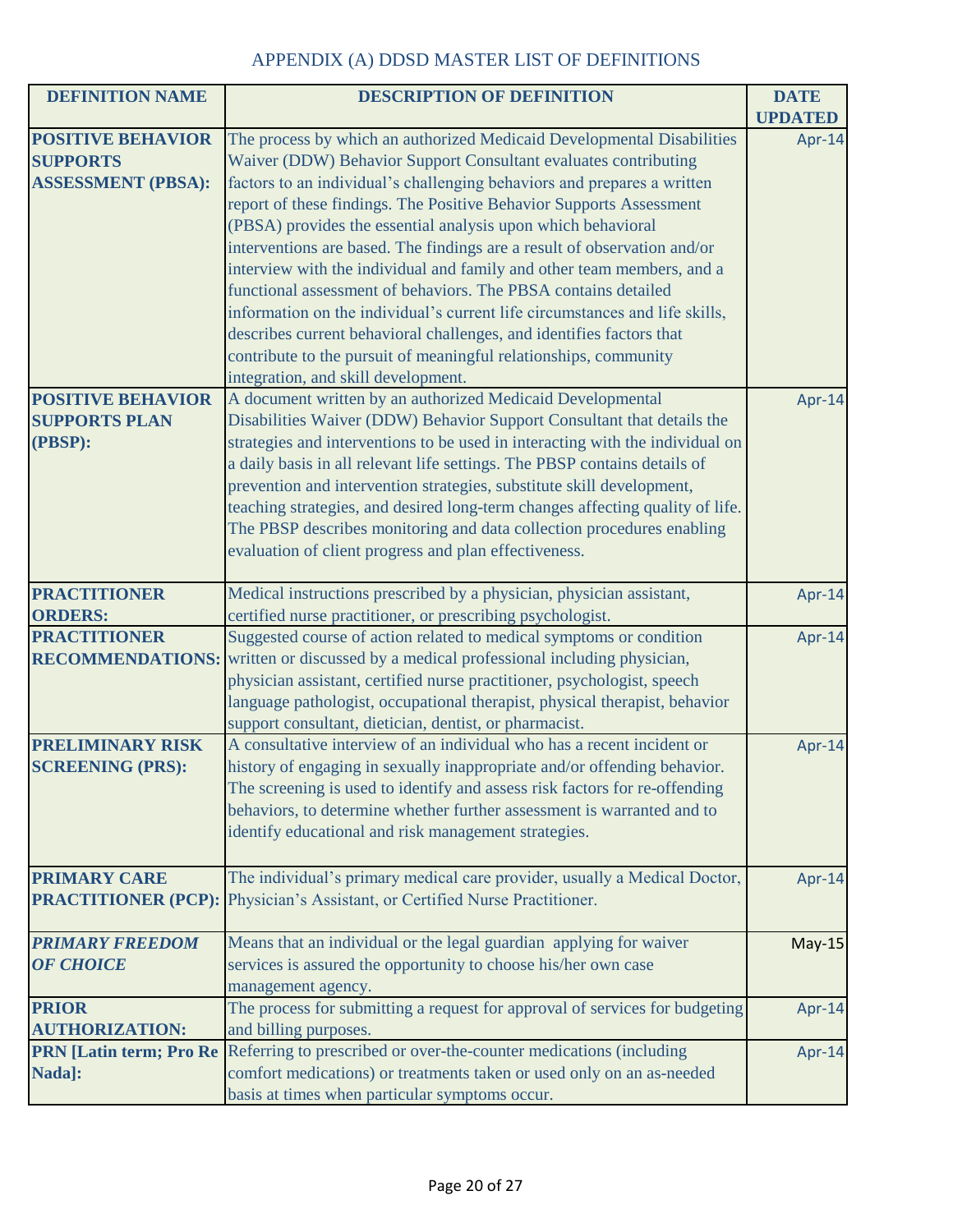| <b>DEFINITION NAME</b>         | <b>DESCRIPTION OF DEFINITION</b>                                                            | <b>DATE</b>    |
|--------------------------------|---------------------------------------------------------------------------------------------|----------------|
|                                |                                                                                             | <b>UPDATED</b> |
| <b>POSITIVE BEHAVIOR</b>       | The process by which an authorized Medicaid Developmental Disabilities                      | Apr-14         |
| <b>SUPPORTS</b>                | Waiver (DDW) Behavior Support Consultant evaluates contributing                             |                |
| <b>ASSESSMENT (PBSA):</b>      | factors to an individual's challenging behaviors and prepares a written                     |                |
|                                | report of these findings. The Positive Behavior Supports Assessment                         |                |
|                                | (PBSA) provides the essential analysis upon which behavioral                                |                |
|                                | interventions are based. The findings are a result of observation and/or                    |                |
|                                | interview with the individual and family and other team members, and a                      |                |
|                                | functional assessment of behaviors. The PBSA contains detailed                              |                |
|                                | information on the individual's current life circumstances and life skills,                 |                |
|                                | describes current behavioral challenges, and identifies factors that                        |                |
|                                | contribute to the pursuit of meaningful relationships, community                            |                |
|                                | integration, and skill development.                                                         |                |
| <b>POSITIVE BEHAVIOR</b>       | A document written by an authorized Medicaid Developmental                                  | Apr-14         |
| <b>SUPPORTS PLAN</b>           | Disabilities Waiver (DDW) Behavior Support Consultant that details the                      |                |
| (PBSP):                        | strategies and interventions to be used in interacting with the individual on               |                |
|                                | a daily basis in all relevant life settings. The PBSP contains details of                   |                |
|                                | prevention and intervention strategies, substitute skill development,                       |                |
|                                | teaching strategies, and desired long-term changes affecting quality of life.               |                |
|                                | The PBSP describes monitoring and data collection procedures enabling                       |                |
|                                | evaluation of client progress and plan effectiveness.                                       |                |
|                                |                                                                                             |                |
| <b>PRACTITIONER</b>            | Medical instructions prescribed by a physician, physician assistant,                        | Apr-14         |
| <b>ORDERS:</b>                 | certified nurse practitioner, or prescribing psychologist.                                  |                |
| <b>PRACTITIONER</b>            | Suggested course of action related to medical symptoms or condition                         | Apr-14         |
|                                | <b>RECOMMENDATIONS:</b> written or discussed by a medical professional including physician, |                |
|                                | physician assistant, certified nurse practitioner, psychologist, speech                     |                |
|                                | language pathologist, occupational therapist, physical therapist, behavior                  |                |
|                                | support consultant, dietician, dentist, or pharmacist.                                      |                |
| <b>PRELIMINARY RISK</b>        | A consultative interview of an individual who has a recent incident or                      | Apr-14         |
| <b>SCREENING (PRS):</b>        | history of engaging in sexually inappropriate and/or offending behavior.                    |                |
|                                | The screening is used to identify and assess risk factors for re-offending                  |                |
|                                | behaviors, to determine whether further assessment is warranted and to                      |                |
|                                | identify educational and risk management strategies.                                        |                |
|                                |                                                                                             |                |
| <b>PRIMARY CARE</b>            | The individual's primary medical care provider, usually a Medical Doctor,                   | Apr-14         |
|                                | <b>PRACTITIONER (PCP):</b> Physician's Assistant, or Certified Nurse Practitioner.          |                |
|                                |                                                                                             |                |
| <b>PRIMARY FREEDOM</b>         | Means that an individual or the legal guardian applying for waiver                          | $May-15$       |
| <b>OF CHOICE</b>               | services is assured the opportunity to choose his/her own case                              |                |
|                                | management agency.                                                                          |                |
| <b>PRIOR</b>                   | The process for submitting a request for approval of services for budgeting                 | Apr-14         |
| <b>AUTHORIZATION:</b>          | and billing purposes.                                                                       |                |
| <b>PRN</b> [Latin term; Pro Re | Referring to prescribed or over-the-counter medications (including                          | Apr-14         |
| Nada]:                         | comfort medications) or treatments taken or used only on an as-needed                       |                |
|                                | basis at times when particular symptoms occur.                                              |                |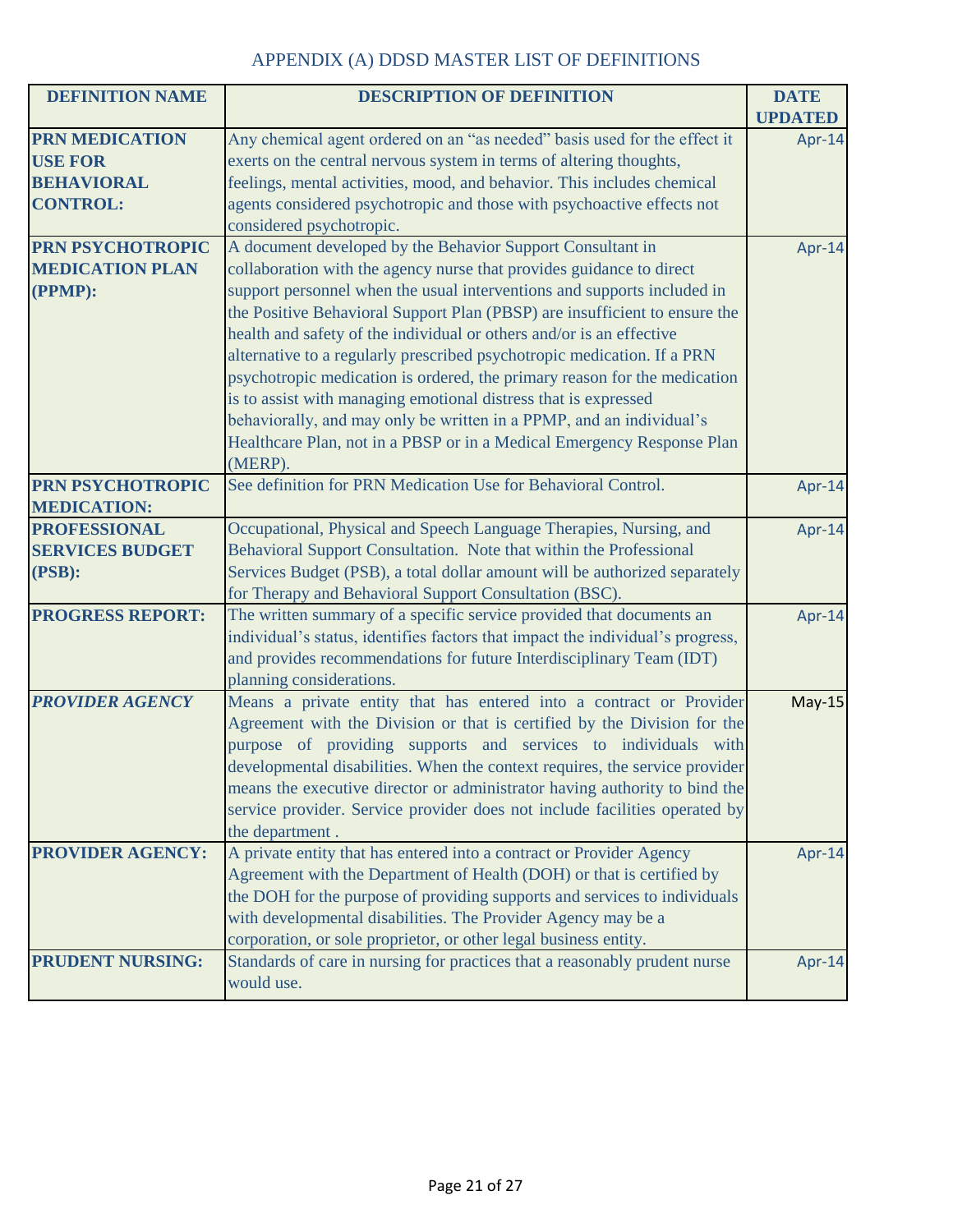| <b>DEFINITION NAME</b>                                                          | <b>DESCRIPTION OF DEFINITION</b>                                                                                                                                                                                                                                                                                                                                                                                                                                                                                                                                                                                                                                                                                                                            | <b>DATE</b><br><b>UPDATED</b> |
|---------------------------------------------------------------------------------|-------------------------------------------------------------------------------------------------------------------------------------------------------------------------------------------------------------------------------------------------------------------------------------------------------------------------------------------------------------------------------------------------------------------------------------------------------------------------------------------------------------------------------------------------------------------------------------------------------------------------------------------------------------------------------------------------------------------------------------------------------------|-------------------------------|
| <b>PRN MEDICATION</b><br><b>USE FOR</b><br><b>BEHAVIORAL</b><br><b>CONTROL:</b> | Any chemical agent ordered on an "as needed" basis used for the effect it<br>exerts on the central nervous system in terms of altering thoughts,<br>feelings, mental activities, mood, and behavior. This includes chemical<br>agents considered psychotropic and those with psychoactive effects not<br>considered psychotropic.                                                                                                                                                                                                                                                                                                                                                                                                                           | Apr-14                        |
| PRN PSYCHOTROPIC<br><b>MEDICATION PLAN</b><br>(PPMP):                           | A document developed by the Behavior Support Consultant in<br>collaboration with the agency nurse that provides guidance to direct<br>support personnel when the usual interventions and supports included in<br>the Positive Behavioral Support Plan (PBSP) are insufficient to ensure the<br>health and safety of the individual or others and/or is an effective<br>alternative to a regularly prescribed psychotropic medication. If a PRN<br>psychotropic medication is ordered, the primary reason for the medication<br>is to assist with managing emotional distress that is expressed<br>behaviorally, and may only be written in a PPMP, and an individual's<br>Healthcare Plan, not in a PBSP or in a Medical Emergency Response Plan<br>(MERP). | Apr-14                        |
| PRN PSYCHOTROPIC<br><b>MEDICATION:</b>                                          | See definition for PRN Medication Use for Behavioral Control.                                                                                                                                                                                                                                                                                                                                                                                                                                                                                                                                                                                                                                                                                               | Apr-14                        |
| <b>PROFESSIONAL</b><br><b>SERVICES BUDGET</b><br>(PSB):                         | Occupational, Physical and Speech Language Therapies, Nursing, and<br>Behavioral Support Consultation. Note that within the Professional<br>Services Budget (PSB), a total dollar amount will be authorized separately<br>for Therapy and Behavioral Support Consultation (BSC).                                                                                                                                                                                                                                                                                                                                                                                                                                                                            | Apr-14                        |
| <b>PROGRESS REPORT:</b>                                                         | The written summary of a specific service provided that documents an<br>individual's status, identifies factors that impact the individual's progress,<br>and provides recommendations for future Interdisciplinary Team (IDT)<br>planning considerations.                                                                                                                                                                                                                                                                                                                                                                                                                                                                                                  | Apr-14                        |
| <b>PROVIDER AGENCY</b>                                                          | Means a private entity that has entered into a contract or Provider<br>Agreement with the Division or that is certified by the Division for the<br>purpose of providing supports and services to individuals with<br>developmental disabilities. When the context requires, the service provider<br>means the executive director or administrator having authority to bind the<br>service provider. Service provider does not include facilities operated by<br>the department.                                                                                                                                                                                                                                                                             | $May-15$                      |
| <b>PROVIDER AGENCY:</b>                                                         | A private entity that has entered into a contract or Provider Agency<br>Agreement with the Department of Health (DOH) or that is certified by<br>the DOH for the purpose of providing supports and services to individuals<br>with developmental disabilities. The Provider Agency may be a<br>corporation, or sole proprietor, or other legal business entity.                                                                                                                                                                                                                                                                                                                                                                                             | Apr-14                        |
| <b>PRUDENT NURSING:</b>                                                         | Standards of care in nursing for practices that a reasonably prudent nurse<br>would use.                                                                                                                                                                                                                                                                                                                                                                                                                                                                                                                                                                                                                                                                    | Apr-14                        |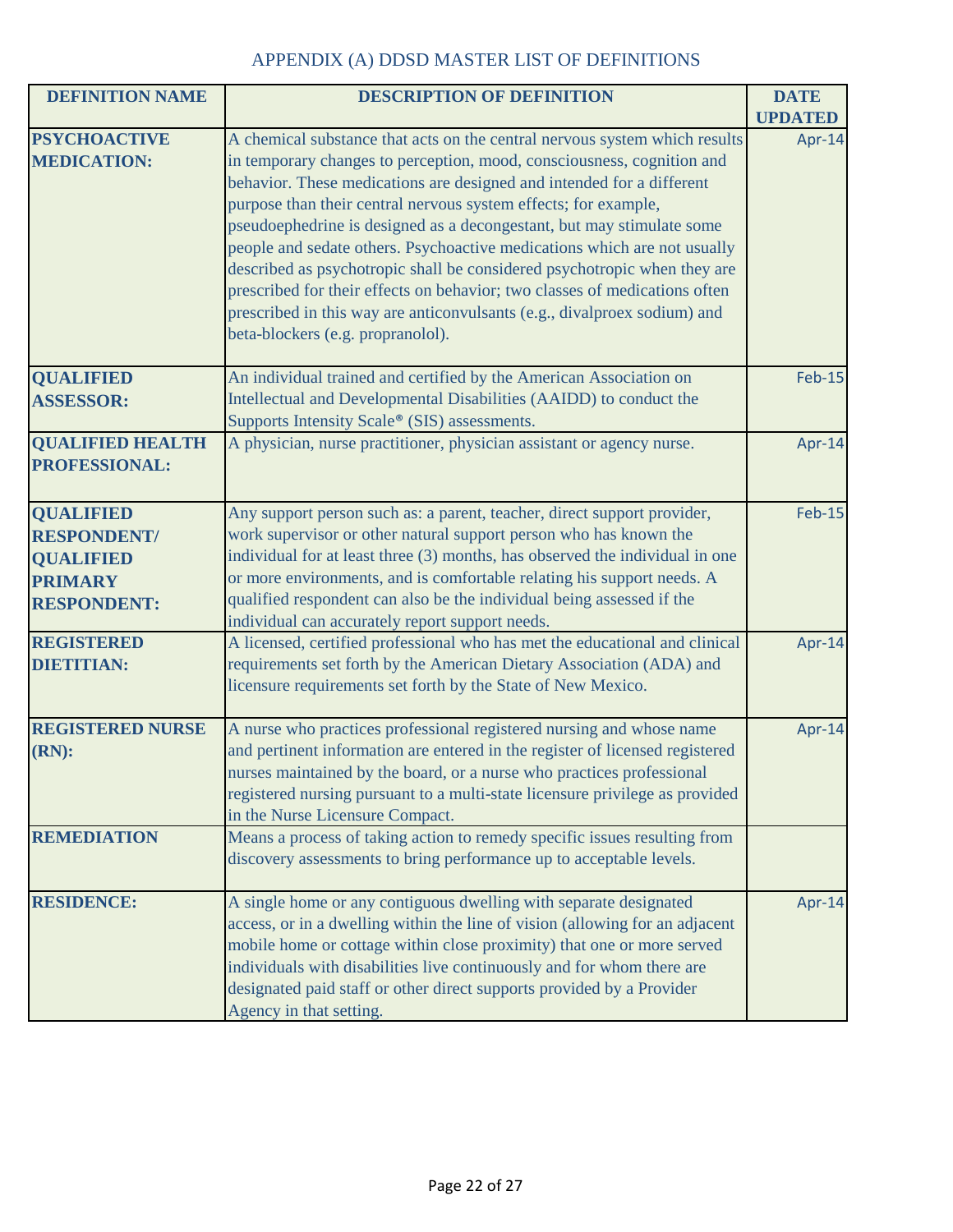| <b>DEFINITION NAME</b>                                                                             | <b>DESCRIPTION OF DEFINITION</b>                                                                                                                                                                                                                                                                                                                                                                                                                                                                                                                                                                                                                                                                                                 | <b>DATE</b>    |
|----------------------------------------------------------------------------------------------------|----------------------------------------------------------------------------------------------------------------------------------------------------------------------------------------------------------------------------------------------------------------------------------------------------------------------------------------------------------------------------------------------------------------------------------------------------------------------------------------------------------------------------------------------------------------------------------------------------------------------------------------------------------------------------------------------------------------------------------|----------------|
|                                                                                                    |                                                                                                                                                                                                                                                                                                                                                                                                                                                                                                                                                                                                                                                                                                                                  | <b>UPDATED</b> |
| <b>PSYCHOACTIVE</b><br><b>MEDICATION:</b>                                                          | A chemical substance that acts on the central nervous system which results<br>in temporary changes to perception, mood, consciousness, cognition and<br>behavior. These medications are designed and intended for a different<br>purpose than their central nervous system effects; for example,<br>pseudoephedrine is designed as a decongestant, but may stimulate some<br>people and sedate others. Psychoactive medications which are not usually<br>described as psychotropic shall be considered psychotropic when they are<br>prescribed for their effects on behavior; two classes of medications often<br>prescribed in this way are anticonvulsants (e.g., divalproex sodium) and<br>beta-blockers (e.g. propranolol). | Apr-14         |
| <b>QUALIFIED</b><br><b>ASSESSOR:</b>                                                               | An individual trained and certified by the American Association on<br>Intellectual and Developmental Disabilities (AAIDD) to conduct the<br>Supports Intensity Scale® (SIS) assessments.                                                                                                                                                                                                                                                                                                                                                                                                                                                                                                                                         | <b>Feb-15</b>  |
| <b>QUALIFIED HEALTH</b><br>PROFESSIONAL:                                                           | A physician, nurse practitioner, physician assistant or agency nurse.                                                                                                                                                                                                                                                                                                                                                                                                                                                                                                                                                                                                                                                            | Apr-14         |
| <b>QUALIFIED</b><br><b>RESPONDENT/</b><br><b>QUALIFIED</b><br><b>PRIMARY</b><br><b>RESPONDENT:</b> | Any support person such as: a parent, teacher, direct support provider,<br>work supervisor or other natural support person who has known the<br>individual for at least three (3) months, has observed the individual in one<br>or more environments, and is comfortable relating his support needs. A<br>qualified respondent can also be the individual being assessed if the<br>individual can accurately report support needs.                                                                                                                                                                                                                                                                                               | <b>Feb-15</b>  |
| <b>REGISTERED</b><br><b>DIETITIAN:</b>                                                             | A licensed, certified professional who has met the educational and clinical<br>requirements set forth by the American Dietary Association (ADA) and<br>licensure requirements set forth by the State of New Mexico.                                                                                                                                                                                                                                                                                                                                                                                                                                                                                                              | Apr-14         |
| <b>REGISTERED NURSE</b><br>$(RN)$ :                                                                | A nurse who practices professional registered nursing and whose name<br>and pertinent information are entered in the register of licensed registered<br>nurses maintained by the board, or a nurse who practices professional<br>registered nursing pursuant to a multi-state licensure privilege as provided<br>in the Nurse Licensure Compact.                                                                                                                                                                                                                                                                                                                                                                                 | Apr-14         |
| <b>REMEDIATION</b>                                                                                 | Means a process of taking action to remedy specific issues resulting from<br>discovery assessments to bring performance up to acceptable levels.                                                                                                                                                                                                                                                                                                                                                                                                                                                                                                                                                                                 |                |
| <b>RESIDENCE:</b>                                                                                  | A single home or any contiguous dwelling with separate designated<br>access, or in a dwelling within the line of vision (allowing for an adjacent<br>mobile home or cottage within close proximity) that one or more served<br>individuals with disabilities live continuously and for whom there are<br>designated paid staff or other direct supports provided by a Provider<br>Agency in that setting.                                                                                                                                                                                                                                                                                                                        | Apr-14         |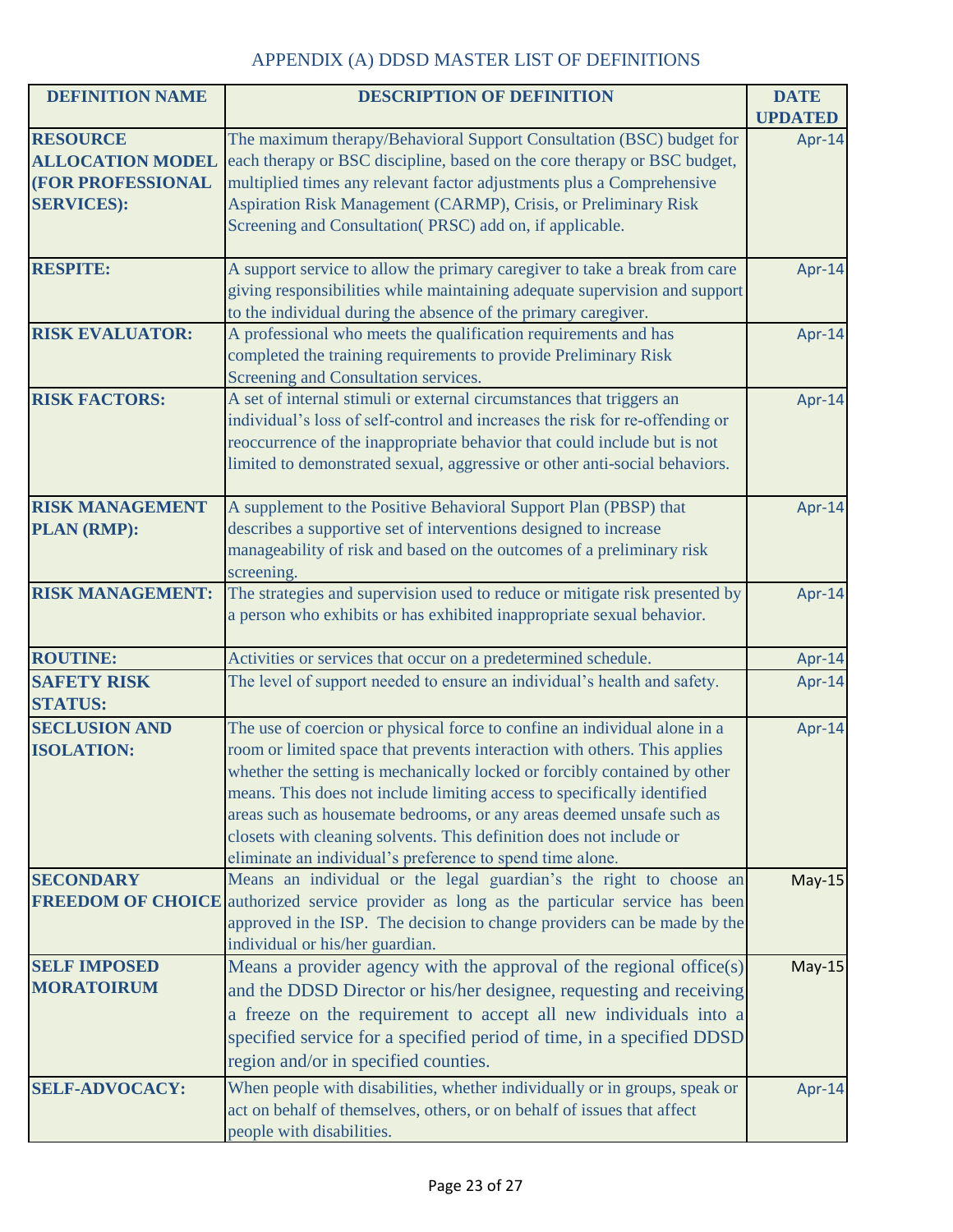| <b>DEFINITION NAME</b>   | <b>DESCRIPTION OF DEFINITION</b>                                             | <b>DATE</b>    |
|--------------------------|------------------------------------------------------------------------------|----------------|
|                          |                                                                              | <b>UPDATED</b> |
| <b>RESOURCE</b>          | The maximum therapy/Behavioral Support Consultation (BSC) budget for         | Apr-14         |
| <b>ALLOCATION MODEL</b>  | each therapy or BSC discipline, based on the core therapy or BSC budget,     |                |
| (FOR PROFESSIONAL        | multiplied times any relevant factor adjustments plus a Comprehensive        |                |
| <b>SERVICES:</b>         | Aspiration Risk Management (CARMP), Crisis, or Preliminary Risk              |                |
|                          | Screening and Consultation(PRSC) add on, if applicable.                      |                |
| <b>RESPITE:</b>          | A support service to allow the primary caregiver to take a break from care   | Apr-14         |
|                          | giving responsibilities while maintaining adequate supervision and support   |                |
|                          | to the individual during the absence of the primary caregiver.               |                |
| <b>RISK EVALUATOR:</b>   | A professional who meets the qualification requirements and has              | Apr-14         |
|                          | completed the training requirements to provide Preliminary Risk              |                |
|                          | Screening and Consultation services.                                         |                |
| <b>RISK FACTORS:</b>     | A set of internal stimuli or external circumstances that triggers an         | Apr-14         |
|                          | individual's loss of self-control and increases the risk for re-offending or |                |
|                          | reoccurrence of the inappropriate behavior that could include but is not     |                |
|                          | limited to demonstrated sexual, aggressive or other anti-social behaviors.   |                |
| <b>RISK MANAGEMENT</b>   | A supplement to the Positive Behavioral Support Plan (PBSP) that             | Apr-14         |
| PLAN (RMP):              | describes a supportive set of interventions designed to increase             |                |
|                          | manageability of risk and based on the outcomes of a preliminary risk        |                |
|                          | screening.                                                                   |                |
| <b>RISK MANAGEMENT:</b>  | The strategies and supervision used to reduce or mitigate risk presented by  | Apr-14         |
|                          | a person who exhibits or has exhibited inappropriate sexual behavior.        |                |
| <b>ROUTINE:</b>          | Activities or services that occur on a predetermined schedule.               | Apr-14         |
| <b>SAFETY RISK</b>       | The level of support needed to ensure an individual's health and safety.     | Apr-14         |
| <b>STATUS:</b>           |                                                                              |                |
| <b>SECLUSION AND</b>     | The use of coercion or physical force to confine an individual alone in a    | Apr-14         |
| <b>ISOLATION:</b>        | room or limited space that prevents interaction with others. This applies    |                |
|                          | whether the setting is mechanically locked or forcibly contained by other    |                |
|                          | means. This does not include limiting access to specifically identified      |                |
|                          | areas such as housemate bedrooms, or any areas deemed unsafe such as         |                |
|                          | closets with cleaning solvents. This definition does not include or          |                |
|                          | eliminate an individual's preference to spend time alone.                    |                |
| <b>SECONDARY</b>         | Means an individual or the legal guardian's the right to choose an           | $May-15$       |
| <b>FREEDOM OF CHOICE</b> | authorized service provider as long as the particular service has been       |                |
|                          | approved in the ISP. The decision to change providers can be made by the     |                |
| <b>SELF IMPOSED</b>      | individual or his/her guardian.                                              |                |
| <b>MORATOIRUM</b>        | Means a provider agency with the approval of the regional office(s)          | $May-15$       |
|                          | and the DDSD Director or his/her designee, requesting and receiving          |                |
|                          | a freeze on the requirement to accept all new individuals into a             |                |
|                          | specified service for a specified period of time, in a specified DDSD        |                |
|                          | region and/or in specified counties.                                         |                |
| <b>SELF-ADVOCACY:</b>    | When people with disabilities, whether individually or in groups, speak or   | Apr-14         |
|                          | act on behalf of themselves, others, or on behalf of issues that affect      |                |
|                          | people with disabilities.                                                    |                |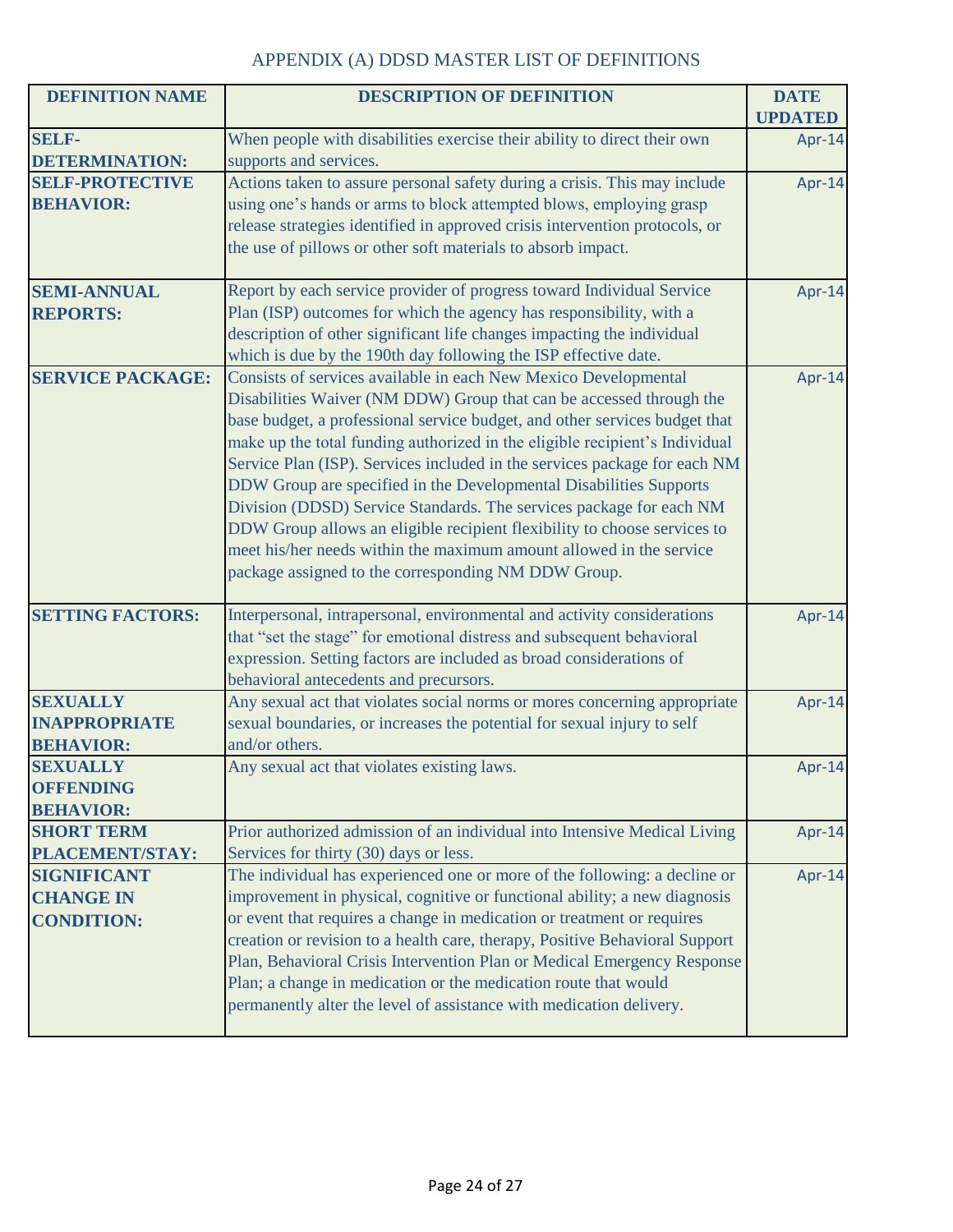| <b>DEFINITION NAME</b>  | <b>DESCRIPTION OF DEFINITION</b>                                            | <b>DATE</b><br><b>UPDATED</b> |
|-------------------------|-----------------------------------------------------------------------------|-------------------------------|
| <b>SELF-</b>            | When people with disabilities exercise their ability to direct their own    | Apr-14                        |
| <b>DETERMINATION:</b>   | supports and services.                                                      |                               |
| <b>SELF-PROTECTIVE</b>  | Actions taken to assure personal safety during a crisis. This may include   | Apr-14                        |
| <b>BEHAVIOR:</b>        | using one's hands or arms to block attempted blows, employing grasp         |                               |
|                         | release strategies identified in approved crisis intervention protocols, or |                               |
|                         | the use of pillows or other soft materials to absorb impact.                |                               |
| <b>SEMI-ANNUAL</b>      | Report by each service provider of progress toward Individual Service       | Apr-14                        |
| <b>REPORTS:</b>         | Plan (ISP) outcomes for which the agency has responsibility, with a         |                               |
|                         | description of other significant life changes impacting the individual      |                               |
|                         | which is due by the 190th day following the ISP effective date.             |                               |
| <b>SERVICE PACKAGE:</b> | Consists of services available in each New Mexico Developmental             | Apr-14                        |
|                         | Disabilities Waiver (NM DDW) Group that can be accessed through the         |                               |
|                         | base budget, a professional service budget, and other services budget that  |                               |
|                         | make up the total funding authorized in the eligible recipient's Individual |                               |
|                         | Service Plan (ISP). Services included in the services package for each NM   |                               |
|                         | DDW Group are specified in the Developmental Disabilities Supports          |                               |
|                         | Division (DDSD) Service Standards. The services package for each NM         |                               |
|                         | DDW Group allows an eligible recipient flexibility to choose services to    |                               |
|                         | meet his/her needs within the maximum amount allowed in the service         |                               |
|                         | package assigned to the corresponding NM DDW Group.                         |                               |
| <b>SETTING FACTORS:</b> | Interpersonal, intrapersonal, environmental and activity considerations     | Apr-14                        |
|                         | that "set the stage" for emotional distress and subsequent behavioral       |                               |
|                         | expression. Setting factors are included as broad considerations of         |                               |
|                         | behavioral antecedents and precursors.                                      |                               |
| <b>SEXUALLY</b>         | Any sexual act that violates social norms or mores concerning appropriate   | Apr-14                        |
| <b>INAPPROPRIATE</b>    | sexual boundaries, or increases the potential for sexual injury to self     |                               |
| <b>BEHAVIOR:</b>        | and/or others.                                                              |                               |
| <b>SEXUALLY</b>         | Any sexual act that violates existing laws.                                 | Apr-14                        |
| <b>OFFENDING</b>        |                                                                             |                               |
| <b>BEHAVIOR:</b>        |                                                                             |                               |
| <b>SHORT TERM</b>       | Prior authorized admission of an individual into Intensive Medical Living   | Apr-14                        |
| PLACEMENT/STAY:         | Services for thirty (30) days or less.                                      |                               |
| <b>SIGNIFICANT</b>      | The individual has experienced one or more of the following: a decline or   | Apr-14                        |
| <b>CHANGE IN</b>        | improvement in physical, cognitive or functional ability; a new diagnosis   |                               |
| <b>CONDITION:</b>       | or event that requires a change in medication or treatment or requires      |                               |
|                         | creation or revision to a health care, therapy, Positive Behavioral Support |                               |
|                         | Plan, Behavioral Crisis Intervention Plan or Medical Emergency Response     |                               |
|                         | Plan; a change in medication or the medication route that would             |                               |
|                         | permanently alter the level of assistance with medication delivery.         |                               |
|                         |                                                                             |                               |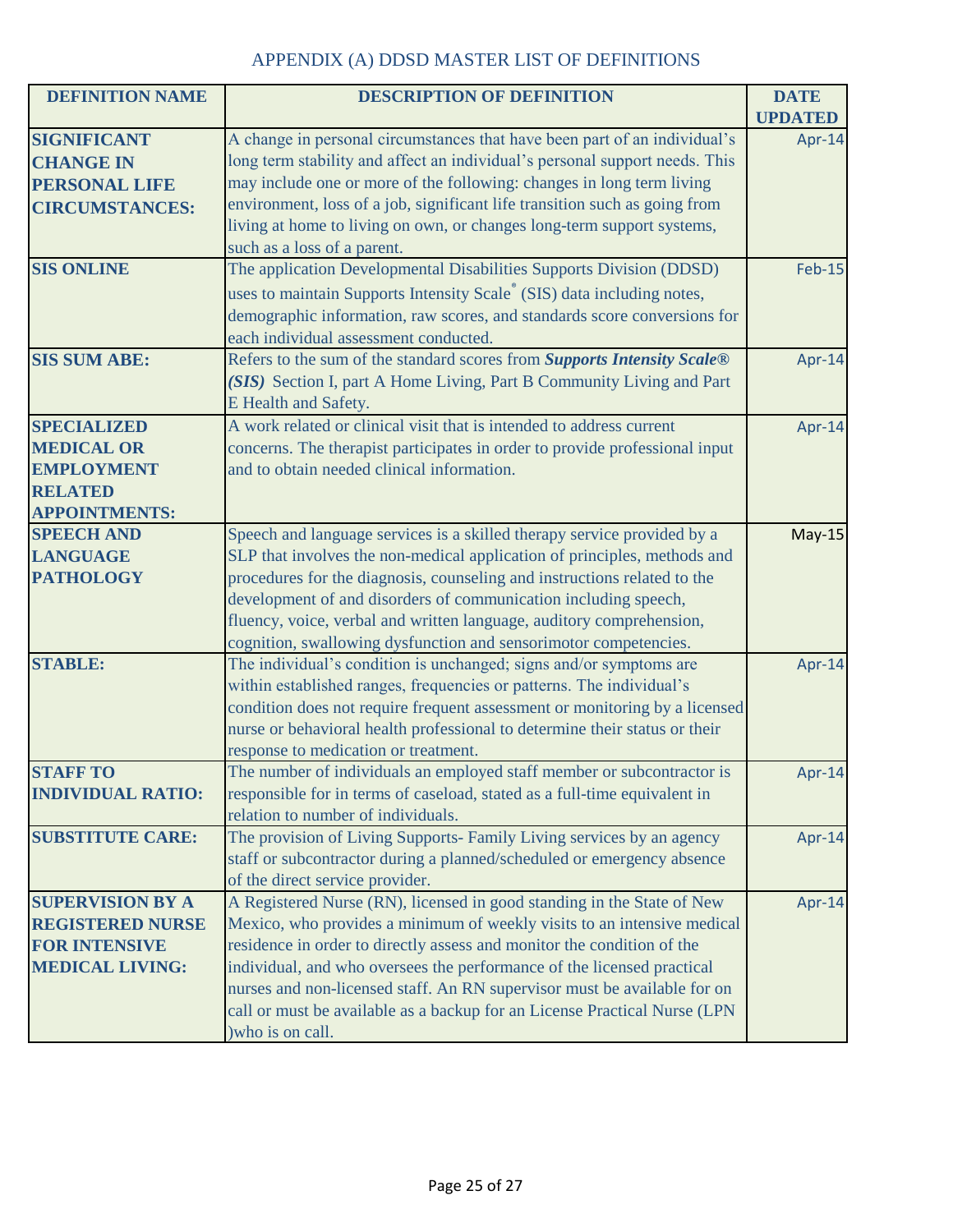| <b>DEFINITION NAME</b>                             | <b>DESCRIPTION OF DEFINITION</b>                                                                                                                   | <b>DATE</b>    |
|----------------------------------------------------|----------------------------------------------------------------------------------------------------------------------------------------------------|----------------|
|                                                    |                                                                                                                                                    | <b>UPDATED</b> |
| <b>SIGNIFICANT</b>                                 | A change in personal circumstances that have been part of an individual's                                                                          | Apr-14         |
| <b>CHANGE IN</b>                                   | long term stability and affect an individual's personal support needs. This                                                                        |                |
| <b>PERSONAL LIFE</b>                               | may include one or more of the following: changes in long term living                                                                              |                |
| <b>CIRCUMSTANCES:</b>                              | environment, loss of a job, significant life transition such as going from                                                                         |                |
|                                                    | living at home to living on own, or changes long-term support systems,                                                                             |                |
|                                                    | such as a loss of a parent.                                                                                                                        |                |
| <b>SIS ONLINE</b>                                  | The application Developmental Disabilities Supports Division (DDSD)                                                                                | <b>Feb-15</b>  |
|                                                    | uses to maintain Supports Intensity Scale <sup>®</sup> (SIS) data including notes,                                                                 |                |
|                                                    | demographic information, raw scores, and standards score conversions for                                                                           |                |
|                                                    | each individual assessment conducted.                                                                                                              |                |
| <b>SIS SUM ABE:</b>                                | Refers to the sum of the standard scores from Supports Intensity Scale®                                                                            | Apr-14         |
|                                                    | (SIS) Section I, part A Home Living, Part B Community Living and Part                                                                              |                |
|                                                    | E Health and Safety.                                                                                                                               |                |
| <b>SPECIALIZED</b>                                 | A work related or clinical visit that is intended to address current                                                                               | Apr-14         |
| <b>MEDICAL OR</b>                                  | concerns. The therapist participates in order to provide professional input                                                                        |                |
| <b>EMPLOYMENT</b>                                  | and to obtain needed clinical information.                                                                                                         |                |
| <b>RELATED</b>                                     |                                                                                                                                                    |                |
| <b>APPOINTMENTS:</b>                               |                                                                                                                                                    |                |
| <b>SPEECH AND</b>                                  | Speech and language services is a skilled therapy service provided by a                                                                            | $May-15$       |
| <b>LANGUAGE</b>                                    | SLP that involves the non-medical application of principles, methods and                                                                           |                |
| <b>PATHOLOGY</b>                                   | procedures for the diagnosis, counseling and instructions related to the                                                                           |                |
|                                                    | development of and disorders of communication including speech,                                                                                    |                |
|                                                    | fluency, voice, verbal and written language, auditory comprehension,                                                                               |                |
|                                                    | cognition, swallowing dysfunction and sensorimotor competencies.                                                                                   |                |
| <b>STABLE:</b>                                     | The individual's condition is unchanged; signs and/or symptoms are                                                                                 | Apr-14         |
|                                                    | within established ranges, frequencies or patterns. The individual's                                                                               |                |
|                                                    | condition does not require frequent assessment or monitoring by a licensed                                                                         |                |
|                                                    | nurse or behavioral health professional to determine their status or their                                                                         |                |
|                                                    | response to medication or treatment.                                                                                                               |                |
| <b>STAFF TO</b>                                    | The number of individuals an employed staff member or subcontractor is                                                                             | Apr-14         |
| <b>INDIVIDUAL RATIO:</b>                           | responsible for in terms of caseload, stated as a full-time equivalent in                                                                          |                |
|                                                    | relation to number of individuals.                                                                                                                 |                |
| <b>SUBSTITUTE CARE:</b>                            | The provision of Living Supports- Family Living services by an agency                                                                              | Apr-14         |
|                                                    | staff or subcontractor during a planned/scheduled or emergency absence                                                                             |                |
|                                                    | of the direct service provider.                                                                                                                    |                |
| <b>SUPERVISION BY A</b><br><b>REGISTERED NURSE</b> | A Registered Nurse (RN), licensed in good standing in the State of New                                                                             | Apr-14         |
| <b>FOR INTENSIVE</b>                               | Mexico, who provides a minimum of weekly visits to an intensive medical<br>residence in order to directly assess and monitor the condition of the  |                |
|                                                    |                                                                                                                                                    |                |
| <b>MEDICAL LIVING:</b>                             | individual, and who oversees the performance of the licensed practical<br>nurses and non-licensed staff. An RN supervisor must be available for on |                |
|                                                    | call or must be available as a backup for an License Practical Nurse (LPN                                                                          |                |
|                                                    | ) who is on call.                                                                                                                                  |                |
|                                                    |                                                                                                                                                    |                |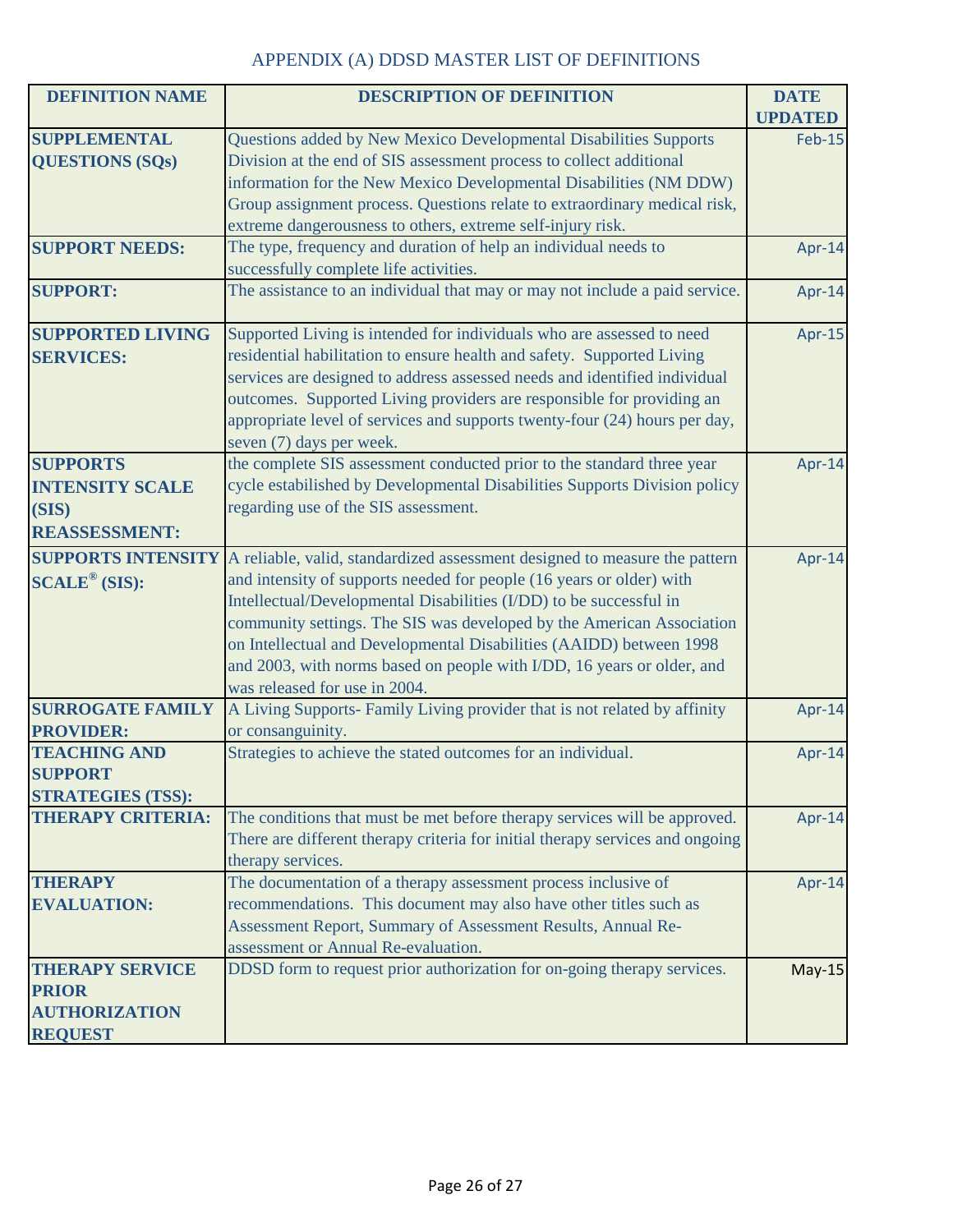| <b>DEFINITION NAME</b>            | <b>DESCRIPTION OF DEFINITION</b>                                              | <b>DATE</b>    |
|-----------------------------------|-------------------------------------------------------------------------------|----------------|
|                                   |                                                                               | <b>UPDATED</b> |
| <b>SUPPLEMENTAL</b>               | Questions added by New Mexico Developmental Disabilities Supports             | <b>Feb-15</b>  |
| <b>QUESTIONS (SQs)</b>            | Division at the end of SIS assessment process to collect additional           |                |
|                                   | information for the New Mexico Developmental Disabilities (NM DDW)            |                |
|                                   | Group assignment process. Questions relate to extraordinary medical risk,     |                |
|                                   | extreme dangerousness to others, extreme self-injury risk.                    |                |
| <b>SUPPORT NEEDS:</b>             | The type, frequency and duration of help an individual needs to               | Apr-14         |
|                                   | successfully complete life activities.                                        |                |
| <b>SUPPORT:</b>                   | The assistance to an individual that may or may not include a paid service.   | Apr-14         |
| <b>SUPPORTED LIVING</b>           | Supported Living is intended for individuals who are assessed to need         | Apr-15         |
| <b>SERVICES:</b>                  | residential habilitation to ensure health and safety. Supported Living        |                |
|                                   | services are designed to address assessed needs and identified individual     |                |
|                                   | outcomes. Supported Living providers are responsible for providing an         |                |
|                                   | appropriate level of services and supports twenty-four (24) hours per day,    |                |
|                                   | seven (7) days per week.                                                      |                |
| <b>SUPPORTS</b>                   | the complete SIS assessment conducted prior to the standard three year        | Apr-14         |
| <b>INTENSITY SCALE</b>            | cycle estabilished by Developmental Disabilities Supports Division policy     |                |
| (SIS)                             | regarding use of the SIS assessment.                                          |                |
| <b>REASSESSMENT:</b>              |                                                                               |                |
| <b>SUPPORTS INTENSITY</b>         | A reliable, valid, standardized assessment designed to measure the pattern    | Apr-14         |
| $\text{SCALE}^{\circledR}$ (SIS): | and intensity of supports needed for people (16 years or older) with          |                |
|                                   | Intellectual/Developmental Disabilities (I/DD) to be successful in            |                |
|                                   | community settings. The SIS was developed by the American Association         |                |
|                                   | on Intellectual and Developmental Disabilities (AAIDD) between 1998           |                |
|                                   | and 2003, with norms based on people with I/DD, 16 years or older, and        |                |
|                                   | was released for use in 2004.                                                 |                |
| <b>SURROGATE FAMILY</b>           | A Living Supports- Family Living provider that is not related by affinity     | Apr-14         |
| <b>PROVIDER:</b>                  | or consanguinity.                                                             |                |
| <b>TEACHING AND</b>               | Strategies to achieve the stated outcomes for an individual.                  | Apr-14         |
| <b>SUPPORT</b>                    |                                                                               |                |
| <b>STRATEGIES (TSS):</b>          |                                                                               |                |
| <b>THERAPY CRITERIA:</b>          | The conditions that must be met before therapy services will be approved.     | Apr-14         |
|                                   | There are different therapy criteria for initial therapy services and ongoing |                |
|                                   | therapy services.                                                             |                |
| <b>THERAPY</b>                    | The documentation of a therapy assessment process inclusive of                | Apr-14         |
| <b>EVALUATION:</b>                | recommendations. This document may also have other titles such as             |                |
|                                   | Assessment Report, Summary of Assessment Results, Annual Re-                  |                |
|                                   | assessment or Annual Re-evaluation.                                           |                |
| <b>THERAPY SERVICE</b>            | DDSD form to request prior authorization for on-going therapy services.       | $May-15$       |
| <b>PRIOR</b>                      |                                                                               |                |
| <b>AUTHORIZATION</b>              |                                                                               |                |
| <b>REQUEST</b>                    |                                                                               |                |